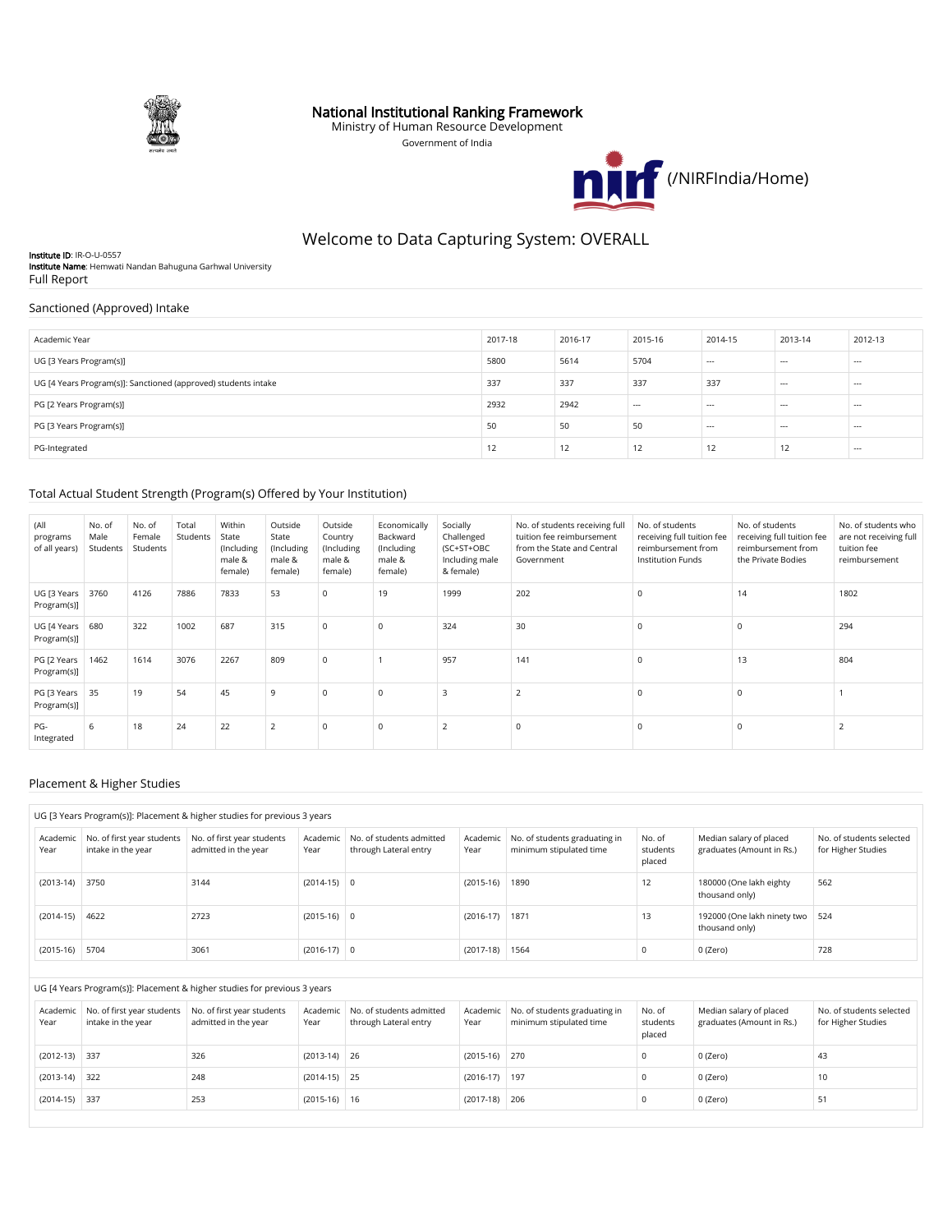

## National Institutional Ranking Framework

Ministry of Human Resource Development Government of India



# Welcome to Data Capturing System: OVERALL

Institute ID: IR-O-U-0557 Institute Name: Hemwati Nandan Bahuguna Garhwal University Full Report

## Sanctioned (Approved) Intake

| Academic Year                                                  | 2017-18 | 2016-17 | 2015-16 | 2014-15  | 2013-14 | 2012-13 |
|----------------------------------------------------------------|---------|---------|---------|----------|---------|---------|
| UG [3 Years Program(s)]                                        | 5800    | 5614    | 5704    | $\cdots$ | $- - -$ | $---$   |
| UG [4 Years Program(s)]: Sanctioned (approved) students intake | 337     | 337     | 337     | 337      | $--$    | $---$   |
| PG [2 Years Program(s)]                                        | 2932    | 2942    | $---$   | $\cdots$ | $- - -$ | $---$   |
| PG [3 Years Program(s)]                                        | 50      | 50      | 50      | $\cdots$ | $- - -$ | $- - -$ |
| PG-Integrated                                                  | 12      | 12      | 12      | 12       | 12      | $--$    |

## Total Actual Student Strength (Program(s) Offered by Your Institution)

| (All<br>programs<br>of all years) | No. of<br>Male<br>Students | No. of<br>Female<br>Students | Total<br>Students | Within<br>State<br>(Including<br>male &<br>female) | Outside<br>State<br>(Including<br>male &<br>female) | Outside<br>Country<br>(Including<br>male &<br>female) | Economically<br>Backward<br>(Including<br>male &<br>female) | Socially<br>Challenged<br>(SC+ST+OBC<br>Including male<br>& female) | No. of students receiving full<br>tuition fee reimbursement<br>from the State and Central<br>Government | No. of students<br>receiving full tuition fee<br>reimbursement from<br><b>Institution Funds</b> | No. of students<br>receiving full tuition fee<br>reimbursement from<br>the Private Bodies | No. of students who<br>are not receiving full<br>tuition fee<br>reimbursement |
|-----------------------------------|----------------------------|------------------------------|-------------------|----------------------------------------------------|-----------------------------------------------------|-------------------------------------------------------|-------------------------------------------------------------|---------------------------------------------------------------------|---------------------------------------------------------------------------------------------------------|-------------------------------------------------------------------------------------------------|-------------------------------------------------------------------------------------------|-------------------------------------------------------------------------------|
| UG [3 Years<br>Program(s)]        | 3760                       | 4126                         | 7886              | 7833                                               | 53                                                  | $\mathsf 0$                                           | 19                                                          | 1999                                                                | 202                                                                                                     |                                                                                                 | 14                                                                                        | 1802                                                                          |
| UG [4 Years<br>Program(s)]        | 680                        | 322                          | 1002              | 687                                                | 315                                                 | $\mathbf 0$                                           | $^{\circ}$                                                  | 324                                                                 | 30                                                                                                      |                                                                                                 | $\Omega$                                                                                  | 294                                                                           |
| PG [2 Years<br>Program(s)]        | 1462                       | 1614                         | 3076              | 2267                                               | 809                                                 | $\mathbf 0$                                           |                                                             | 957                                                                 | 141                                                                                                     |                                                                                                 | 13                                                                                        | 804                                                                           |
| PG [3 Years<br>Program(s)]        | 35                         | 19                           | 54                | 45                                                 | 9                                                   | $\mathbf 0$                                           | $\Omega$                                                    | $\overline{\mathbf{3}}$                                             | $\overline{\phantom{0}}$                                                                                |                                                                                                 |                                                                                           |                                                                               |
| $PG-$<br>Integrated               | 6                          | 18                           | 24                | 22                                                 | $\overline{2}$                                      | $\mathbf 0$                                           | $\Omega$                                                    | $\overline{2}$                                                      | $^{\circ}$                                                                                              |                                                                                                 |                                                                                           |                                                                               |

#### Placement & Higher Studies

|                  | UG [3 Years Program(s)]: Placement & higher studies for previous 3 years |                                                    |                  |                                                   |                  |                                                          |                              |                                                      |                                                |
|------------------|--------------------------------------------------------------------------|----------------------------------------------------|------------------|---------------------------------------------------|------------------|----------------------------------------------------------|------------------------------|------------------------------------------------------|------------------------------------------------|
| Academic<br>Year | No. of first year students<br>intake in the vear                         | No. of first year students<br>admitted in the year | Academic<br>Year | No. of students admitted<br>through Lateral entry | Academic<br>Year | No. of students graduating in<br>minimum stipulated time | No. of<br>students<br>placed | Median salary of placed<br>graduates (Amount in Rs.) | No. of students selected<br>for Higher Studies |
| $(2013-14)$      | 3750                                                                     | 3144                                               | $(2014-15)$ 0    |                                                   | $(2015-16)$      | 1890                                                     | 12                           | 180000 (One lakh eighty<br>thousand only)            | 562                                            |
| $(2014-15)$      | 4622                                                                     | 2723                                               | $(2015-16)$ 0    |                                                   | $(2016-17)$      | 1871                                                     | 13                           | 192000 (One lakh ninety two<br>thousand only)        | 524                                            |
| $(2015-16)$      | 5704                                                                     | 3061                                               | $(2016-17)$ 0    |                                                   | $(2017-18)$      | 1564                                                     | 0                            | 0 (Zero)                                             | 728                                            |

#### UG [4 Years Program(s)]: Placement & higher studies for previous 3 years

| Academic<br>Year | No. of first year students<br>intake in the year | No. of first year students<br>admitted in the year | Academic<br>Year | No. of students admitted<br>through Lateral entry | Academic<br>Year | No. of students graduating in<br>minimum stipulated time | No. of<br>students<br>placed | Median salary of placed<br>graduates (Amount in Rs.) | No. of students selected<br>for Higher Studies |
|------------------|--------------------------------------------------|----------------------------------------------------|------------------|---------------------------------------------------|------------------|----------------------------------------------------------|------------------------------|------------------------------------------------------|------------------------------------------------|
| $(2012-13)$ 337  |                                                  | 326                                                | $(2013-14)$ 26   |                                                   | $(2015-16)$ 270  |                                                          |                              | 0 (Zero)                                             | 43                                             |
| $(2013-14)$ 322  |                                                  | 248                                                | $(2014-15)$ 25   |                                                   | $(2016-17)$ 197  |                                                          |                              | 0 (Zero)                                             | 10                                             |
| $(2014-15)$ 337  |                                                  | 253                                                | $(2015-16)$ 16   |                                                   | $(2017-18)$ 206  |                                                          |                              | 0 (Zero)                                             | 51                                             |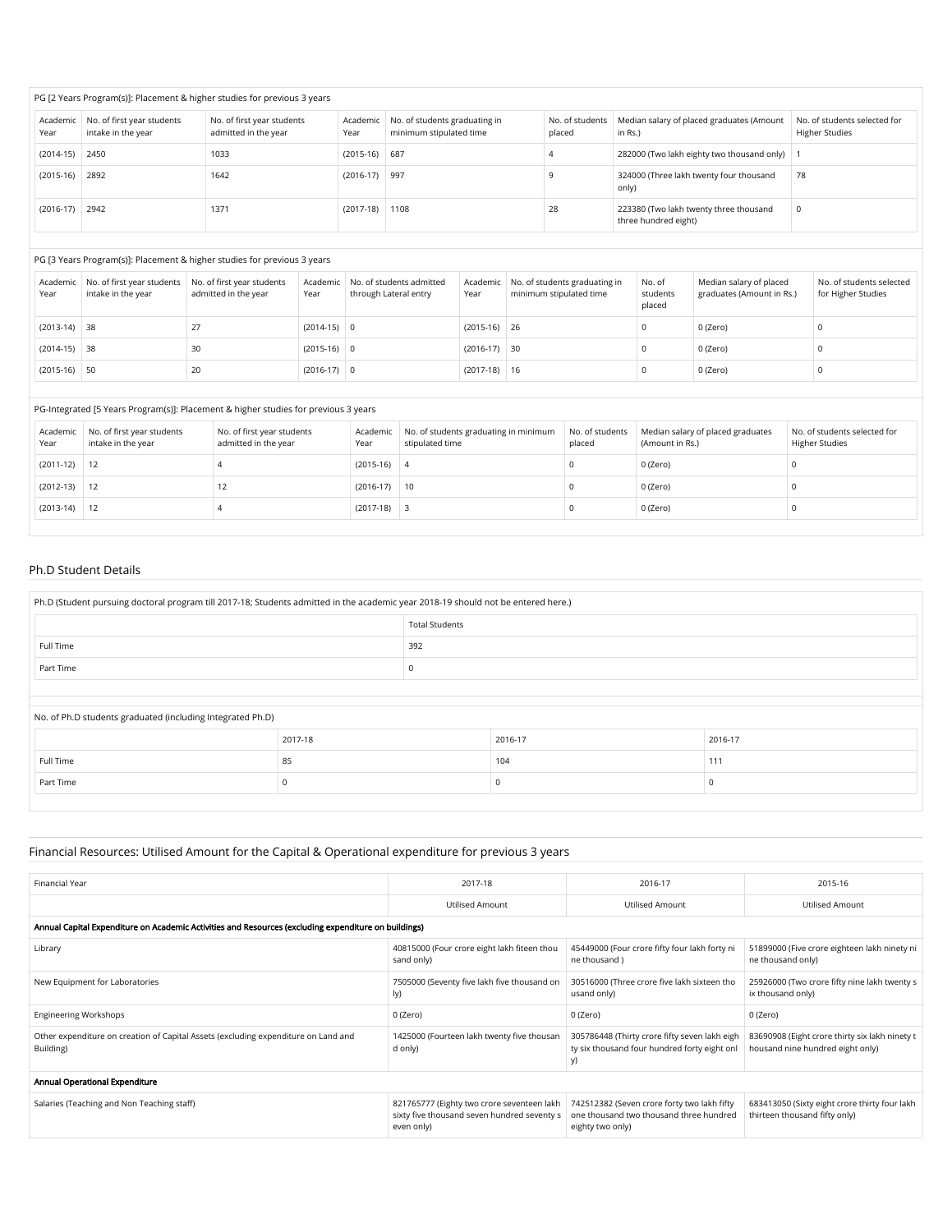|                  | PG [2 Years Program(s)]: Placement & higher studies for previous 3 years |                                                    |                  |                                                          |                           |                                                                |                                                       |  |  |
|------------------|--------------------------------------------------------------------------|----------------------------------------------------|------------------|----------------------------------------------------------|---------------------------|----------------------------------------------------------------|-------------------------------------------------------|--|--|
| Academic<br>Year | No. of first year students<br>intake in the year                         | No. of first year students<br>admitted in the year | Academic<br>Year | No. of students graduating in<br>minimum stipulated time | No. of students<br>placed | Median salary of placed graduates (Amount<br>in Rs.)           | No. of students selected for<br><b>Higher Studies</b> |  |  |
| $(2014-15)$      | 2450                                                                     | 1033                                               | $(2015-16)$ 687  |                                                          |                           | 282000 (Two lakh eighty two thousand only)                     |                                                       |  |  |
| $(2015-16)$      | 2892                                                                     | 1642                                               | $(2016-17)$ 997  |                                                          |                           | 324000 (Three lakh twenty four thousand<br>only)               | 78                                                    |  |  |
| $(2016-17)$      | 2942                                                                     | 1371                                               | $(2017-18)$      | 1108                                                     | 28                        | 223380 (Two lakh twenty three thousand<br>three hundred eight) |                                                       |  |  |

#### PG [3 Years Program(s)]: Placement & higher studies for previous 3 years

| Academic<br>Year | intake in the year | No. of first year students No. of first year students<br>admitted in the year | Year          | Academic No. of students admitted<br>through Lateral entry | Year           | Academic   No. of students graduating in<br>minimum stipulated time | No. of<br>students<br>placed | Median salary of placed<br>graduates (Amount in Rs.) | No. of students selected<br>for Higher Studies |
|------------------|--------------------|-------------------------------------------------------------------------------|---------------|------------------------------------------------------------|----------------|---------------------------------------------------------------------|------------------------------|------------------------------------------------------|------------------------------------------------|
| $(2013-14)$ 38   |                    |                                                                               | $(2014-15)$ 0 |                                                            | $(2015-16)$ 26 |                                                                     |                              | 0 (Zero)                                             |                                                |
| $(2014-15)$ 38   |                    | 30                                                                            | $(2015-16)$ 0 |                                                            | $(2016-17)$ 30 |                                                                     |                              | 0 (Zero)                                             |                                                |
| $(2015-16)$ 50   |                    | 20                                                                            | $(2016-17)$ 0 |                                                            | $(2017-18)$ 16 |                                                                     |                              | 0 (Zero)                                             |                                                |

## PG-Integrated [5 Years Program(s)]: Placement & higher studies for previous 3 years

| Academic<br>Year | No. of first year students<br>intake in the year | No. of first year students<br>admitted in the year | Academic<br>Year | No. of students graduating in minimum<br>stipulated time | No. of students<br>placed | Median salary of placed graduates<br>(Amount in Rs.) | No. of students selected for<br><b>Higher Studies</b> |
|------------------|--------------------------------------------------|----------------------------------------------------|------------------|----------------------------------------------------------|---------------------------|------------------------------------------------------|-------------------------------------------------------|
| $(2011-12)$      | 12                                               |                                                    | $(2015-16)$ 4    |                                                          |                           | 0 (Zero)                                             |                                                       |
| $(2012-13)$      | 12                                               | - 1                                                | $(2016-17)$ 10   |                                                          |                           | 0 (Zero)                                             |                                                       |
| $(2013-14)$      | 12                                               |                                                    | $(2017-18)$ 3    |                                                          |                           | 0 (Zero)                                             |                                                       |

## Ph.D Student Details

| Ph.D (Student pursuing doctoral program till 2017-18; Students admitted in the academic year 2018-19 should not be entered here.) |         |                       |         |         |  |  |  |
|-----------------------------------------------------------------------------------------------------------------------------------|---------|-----------------------|---------|---------|--|--|--|
|                                                                                                                                   |         | <b>Total Students</b> |         |         |  |  |  |
| Full Time                                                                                                                         |         | 392                   |         |         |  |  |  |
| Part Time                                                                                                                         |         | 0                     |         |         |  |  |  |
|                                                                                                                                   |         |                       |         |         |  |  |  |
| No. of Ph.D students graduated (including Integrated Ph.D)                                                                        |         |                       |         |         |  |  |  |
|                                                                                                                                   | 2017-18 |                       | 2016-17 | 2016-17 |  |  |  |
| Full Time                                                                                                                         | 85      |                       | 104     | 111     |  |  |  |
| Part Time                                                                                                                         |         |                       |         |         |  |  |  |

# Financial Resources: Utilised Amount for the Capital & Operational expenditure for previous 3 years

| Financial Year                                                                                       | 2017-18                                                                                                 | 2016-17                                                                                                    | 2015-16                                                                            |  |  |  |  |  |
|------------------------------------------------------------------------------------------------------|---------------------------------------------------------------------------------------------------------|------------------------------------------------------------------------------------------------------------|------------------------------------------------------------------------------------|--|--|--|--|--|
|                                                                                                      | <b>Utilised Amount</b>                                                                                  | <b>Utilised Amount</b>                                                                                     | <b>Utilised Amount</b>                                                             |  |  |  |  |  |
| Annual Capital Expenditure on Academic Activities and Resources (excluding expenditure on buildings) |                                                                                                         |                                                                                                            |                                                                                    |  |  |  |  |  |
| Library                                                                                              | 40815000 (Four crore eight lakh fiteen thou<br>sand only)                                               | 45449000 (Four crore fifty four lakh forty ni<br>ne thousand)                                              | 51899000 (Five crore eighteen lakh ninety ni<br>ne thousand only)                  |  |  |  |  |  |
| New Equipment for Laboratories                                                                       | 7505000 (Seventy five lakh five thousand on<br>ly)                                                      | 30516000 (Three crore five lakh sixteen tho<br>usand only)                                                 | 25926000 (Two crore fifty nine lakh twenty s<br>ix thousand only)                  |  |  |  |  |  |
| <b>Engineering Workshops</b>                                                                         | 0 (Zero)                                                                                                | 0 (Zero)                                                                                                   | 0 (Zero)                                                                           |  |  |  |  |  |
| Other expenditure on creation of Capital Assets (excluding expenditure on Land and<br>Building)      | 1425000 (Fourteen lakh twenty five thousan<br>d only)                                                   | 305786448 (Thirty crore fifty seven lakh eigh<br>ty six thousand four hundred forty eight onl<br>y)        | 83690908 (Eight crore thirty six lakh ninety t<br>housand nine hundred eight only) |  |  |  |  |  |
| Annual Operational Expenditure                                                                       |                                                                                                         |                                                                                                            |                                                                                    |  |  |  |  |  |
| Salaries (Teaching and Non Teaching staff)                                                           | 821765777 (Eighty two crore seventeen lakh<br>sixty five thousand seven hundred seventy s<br>even only) | 742512382 (Seven crore forty two lakh fifty<br>one thousand two thousand three hundred<br>eighty two only) | 683413050 (Sixty eight crore thirty four lakh<br>thirteen thousand fifty only)     |  |  |  |  |  |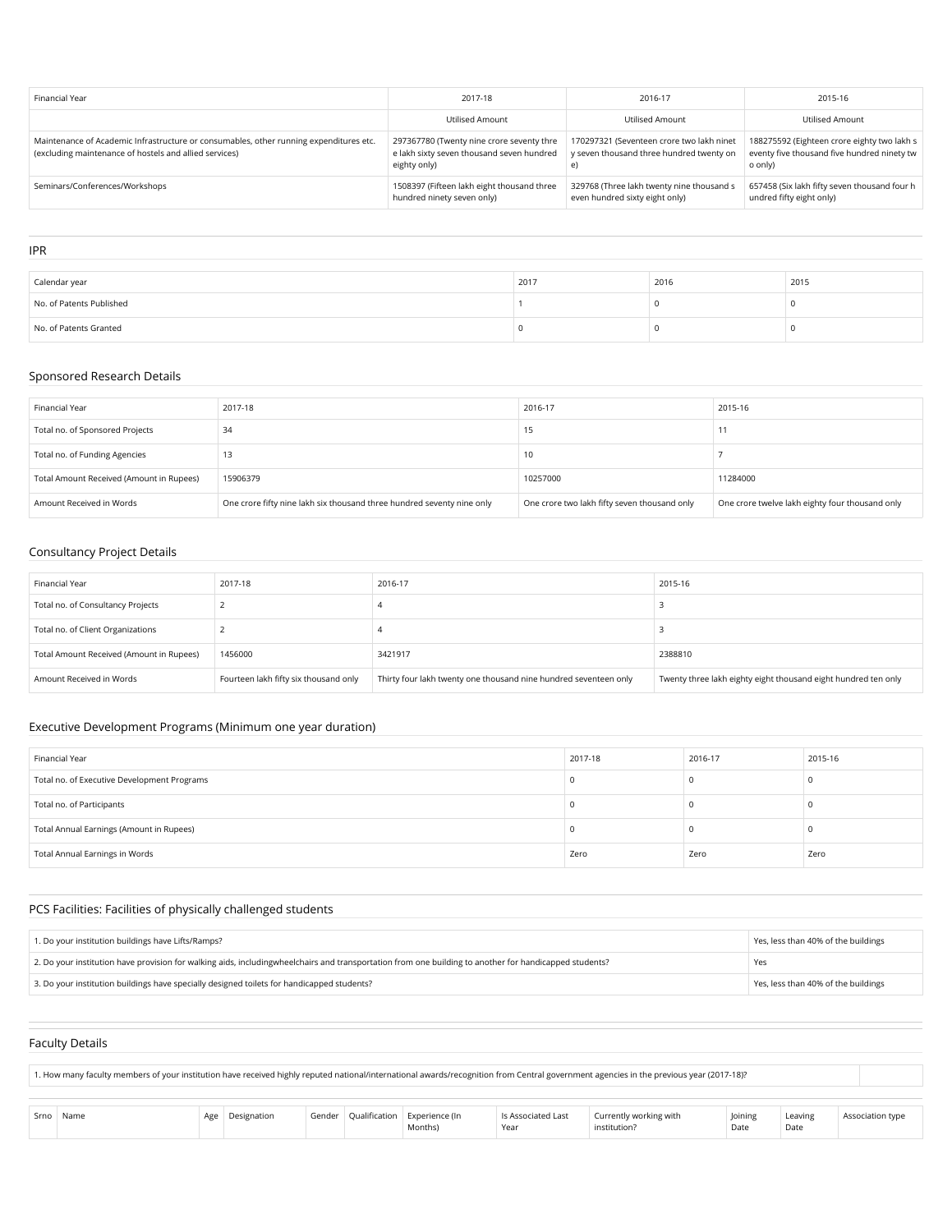| Financial Year                                                                                                                                   | 2017-18                                                                                                | 2016-17                                                                                     | 2015-16                                                                                               |
|--------------------------------------------------------------------------------------------------------------------------------------------------|--------------------------------------------------------------------------------------------------------|---------------------------------------------------------------------------------------------|-------------------------------------------------------------------------------------------------------|
|                                                                                                                                                  | <b>Utilised Amount</b>                                                                                 | <b>Utilised Amount</b>                                                                      | <b>Utilised Amount</b>                                                                                |
| Maintenance of Academic Infrastructure or consumables, other running expenditures etc.<br>(excluding maintenance of hostels and allied services) | 297367780 (Twenty nine crore seventy thre<br>e lakh sixty seven thousand seven hundred<br>eighty only) | 170297321 (Seventeen crore two lakh ninet<br>y seven thousand three hundred twenty on<br>e) | 188275592 (Eighteen crore eighty two lakh s<br>eventy five thousand five hundred ninety tw<br>o only) |
| Seminars/Conferences/Workshops                                                                                                                   | 1508397 (Fifteen lakh eight thousand three<br>hundred ninety seven only)                               | 329768 (Three lakh twenty nine thousand s<br>even hundred sixty eight only)                 | 657458 (Six lakh fifty seven thousand four h<br>undred fifty eight only)                              |
|                                                                                                                                                  |                                                                                                        |                                                                                             |                                                                                                       |
| <b>IPR</b>                                                                                                                                       |                                                                                                        |                                                                                             |                                                                                                       |

| Calendar year            | 2017 | 2016 | 2015 |
|--------------------------|------|------|------|
| No. of Patents Published |      |      |      |
| No. of Patents Granted   |      |      |      |

## Sponsored Research Details

| Financial Year                           | 2017-18                                                                | 2016-17                                      | 2015-16                                         |
|------------------------------------------|------------------------------------------------------------------------|----------------------------------------------|-------------------------------------------------|
| Total no. of Sponsored Projects          | 34                                                                     | - 10                                         |                                                 |
| Total no. of Funding Agencies            | - 10                                                                   | 10                                           |                                                 |
| Total Amount Received (Amount in Rupees) | 15906379                                                               | 10257000                                     | 11284000                                        |
| Amount Received in Words                 | One crore fifty nine lakh six thousand three hundred seventy nine only | One crore two lakh fifty seven thousand only | One crore twelve lakh eighty four thousand only |

# Consultancy Project Details

| Financial Year                           | 2017-18                               | 2016-17                                                          | 2015-16                                                        |
|------------------------------------------|---------------------------------------|------------------------------------------------------------------|----------------------------------------------------------------|
| Total no. of Consultancy Projects        |                                       |                                                                  |                                                                |
| Total no. of Client Organizations        |                                       |                                                                  |                                                                |
| Total Amount Received (Amount in Rupees) | 1456000                               | 3421917                                                          | 2388810                                                        |
| Amount Received in Words                 | Fourteen lakh fifty six thousand only | Thirty four lakh twenty one thousand nine hundred seventeen only | Twenty three lakh eighty eight thousand eight hundred ten only |

## Executive Development Programs (Minimum one year duration)

| Financial Year                              | 2017-18 | 2016-17 | 2015-16 |
|---------------------------------------------|---------|---------|---------|
| Total no. of Executive Development Programs |         |         |         |
| Total no. of Participants                   |         |         |         |
| Total Annual Earnings (Amount in Rupees)    |         |         |         |
| Total Annual Earnings in Words              | Zero    | Zero    | Zero    |

# PCS Facilities: Facilities of physically challenged students

| 1. Do your institution buildings have Lifts/Ramps?                                                                                                     | Yes, less than 40% of the buildings |
|--------------------------------------------------------------------------------------------------------------------------------------------------------|-------------------------------------|
| 2. Do your institution have provision for walking aids, includingwheelchairs and transportation from one building to another for handicapped students? | Yes                                 |
| 3. Do your institution buildings have specially designed toilets for handicapped students?                                                             | Yes, less than 40% of the buildings |

## Faculty Details

1. How many faculty members of your institution have received highly reputed national/international awards/recognition from Central government agencies in the previous year (2017-18)?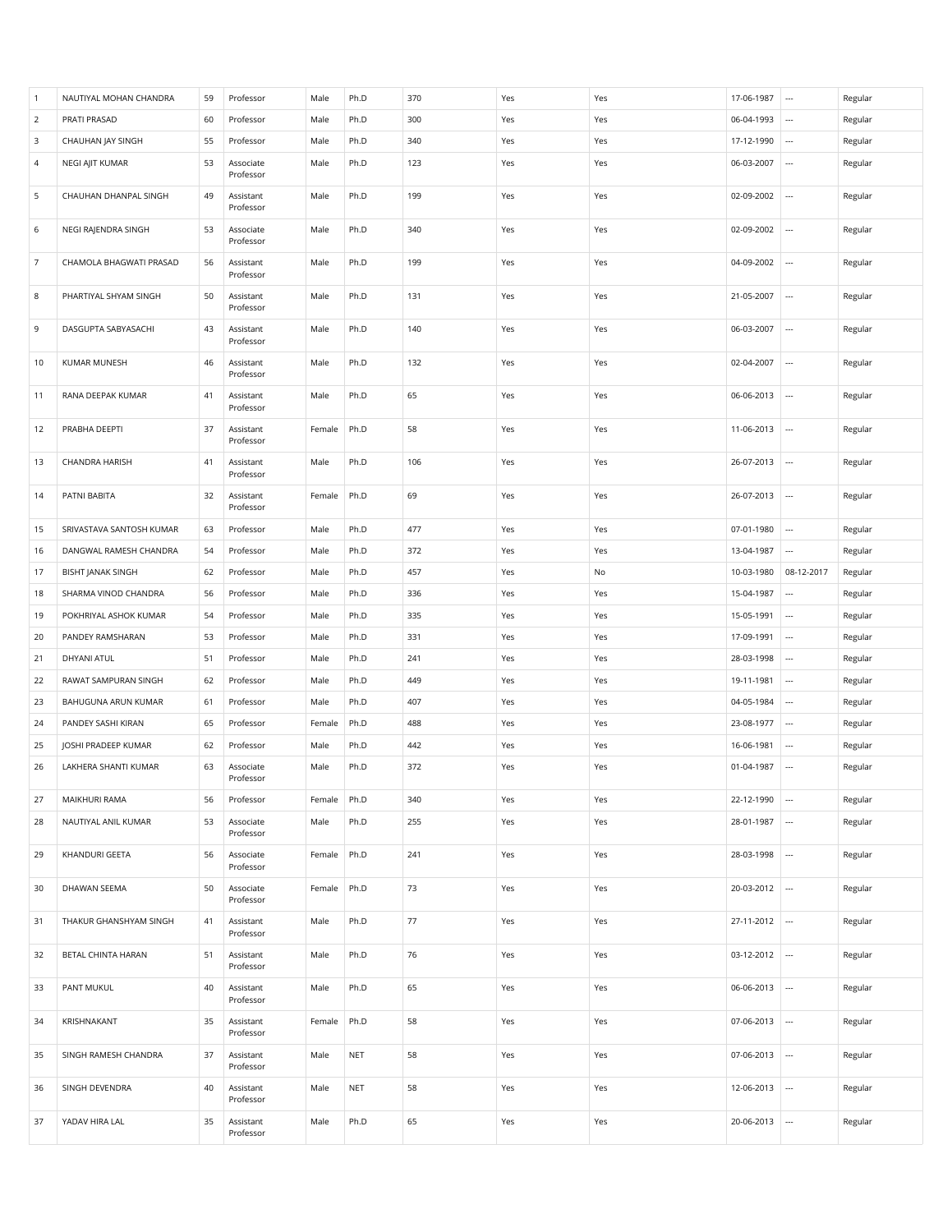| $\overline{1}$ | NAUTIYAL MOHAN CHANDRA   | 59 | Professor              | Male   | Ph.D       | 370 | Yes | Yes | 17-06-1987 | $\cdots$                 | Regular |
|----------------|--------------------------|----|------------------------|--------|------------|-----|-----|-----|------------|--------------------------|---------|
| $\overline{2}$ | PRATI PRASAD             | 60 | Professor              | Male   | Ph.D       | 300 | Yes | Yes | 06-04-1993 | $\overline{\phantom{a}}$ | Regular |
| 3              | CHAUHAN JAY SINGH        | 55 | Professor              | Male   | Ph.D       | 340 | Yes | Yes | 17-12-1990 | $\overline{\phantom{a}}$ | Regular |
| $\overline{a}$ | NEGI AJIT KUMAR          | 53 | Associate<br>Professor | Male   | Ph.D       | 123 | Yes | Yes | 06-03-2007 |                          | Regular |
| 5              | CHAUHAN DHANPAL SINGH    | 49 | Assistant<br>Professor | Male   | Ph.D       | 199 | Yes | Yes | 02-09-2002 | $\overline{\phantom{a}}$ | Regular |
| 6              | NEGI RAJENDRA SINGH      | 53 | Associate<br>Professor | Male   | Ph.D       | 340 | Yes | Yes | 02-09-2002 |                          | Regular |
| $\overline{7}$ | CHAMOLA BHAGWATI PRASAD  | 56 | Assistant<br>Professor | Male   | Ph.D       | 199 | Yes | Yes | 04-09-2002 | $\overline{\phantom{a}}$ | Regular |
| 8              | PHARTIYAL SHYAM SINGH    | 50 | Assistant<br>Professor | Male   | Ph.D       | 131 | Yes | Yes | 21-05-2007 |                          | Regular |
| 9              | DASGUPTA SABYASACHI      | 43 | Assistant<br>Professor | Male   | Ph.D       | 140 | Yes | Yes | 06-03-2007 |                          | Regular |
| 10             | KUMAR MUNESH             | 46 | Assistant<br>Professor | Male   | Ph.D       | 132 | Yes | Yes | 02-04-2007 |                          | Regular |
| 11             | RANA DEEPAK KUMAR        | 41 | Assistant<br>Professor | Male   | Ph.D       | 65  | Yes | Yes | 06-06-2013 | $\cdots$                 | Regular |
| 12             | PRABHA DEEPTI            | 37 | Assistant<br>Professor | Female | Ph.D       | 58  | Yes | Yes | 11-06-2013 | $\sim$                   | Regular |
| 13             | CHANDRA HARISH           | 41 | Assistant<br>Professor | Male   | Ph.D       | 106 | Yes | Yes | 26-07-2013 |                          | Regular |
| 14             | PATNI BABITA             | 32 | Assistant<br>Professor | Female | Ph.D       | 69  | Yes | Yes | 26-07-2013 | $\sim$                   | Regular |
| 15             | SRIVASTAVA SANTOSH KUMAR | 63 | Professor              | Male   | Ph.D       | 477 | Yes | Yes | 07-01-1980 |                          | Regular |
| 16             | DANGWAL RAMESH CHANDRA   | 54 | Professor              | Male   | Ph.D       | 372 | Yes | Yes | 13-04-1987 |                          | Regular |
| 17             | <b>BISHT JANAK SINGH</b> | 62 | Professor              | Male   | Ph.D       | 457 | Yes | No  | 10-03-1980 | 08-12-2017               | Regular |
| 18             | SHARMA VINOD CHANDRA     | 56 | Professor              | Male   | Ph.D       | 336 | Yes | Yes | 15-04-1987 |                          | Regular |
| 19             | POKHRIYAL ASHOK KUMAR    | 54 | Professor              | Male   | Ph.D       | 335 | Yes | Yes | 15-05-1991 |                          | Regular |
| 20             | PANDEY RAMSHARAN         | 53 | Professor              | Male   | Ph.D       | 331 | Yes | Yes | 17-09-1991 |                          | Regular |
| 21             | DHYANI ATUL              | 51 | Professor              | Male   | Ph.D       | 241 | Yes | Yes | 28-03-1998 |                          | Regular |
| 22             | RAWAT SAMPURAN SINGH     | 62 | Professor              | Male   | Ph.D       | 449 | Yes | Yes | 19-11-1981 | $\overline{\phantom{a}}$ | Regular |
| 23             | BAHUGUNA ARUN KUMAR      | 61 | Professor              | Male   | Ph.D       | 407 | Yes | Yes | 04-05-1984 |                          | Regular |
| 24             | PANDEY SASHI KIRAN       | 65 | Professor              | Female | Ph.D       | 488 | Yes | Yes | 23-08-1977 |                          | Regular |
| 25             | JOSHI PRADEEP KUMAR      | 62 | Professor              | Male   | Ph.D       | 442 | Yes | Yes | 16-06-1981 |                          | Regular |
| 26             | LAKHERA SHANTI KUMAR     | 63 | Associate<br>Professor | Male   | Ph.D       | 372 | Yes | Yes | 01-04-1987 | $\overline{\phantom{a}}$ | Regular |
| 27             | MAIKHURI RAMA            | 56 | Professor              | Female | Ph.D       | 340 | Yes | Yes | 22-12-1990 | $\cdots$                 | Regular |
| 28             | NAUTIYAL ANIL KUMAR      | 53 | Associate<br>Professor | Male   | Ph.D       | 255 | Yes | Yes | 28-01-1987 | $\overline{\phantom{a}}$ | Regular |
| 29             | KHANDURI GEETA           | 56 | Associate<br>Professor | Female | Ph.D       | 241 | Yes | Yes | 28-03-1998 | $\cdots$                 | Regular |
| 30             | DHAWAN SEEMA             | 50 | Associate<br>Professor | Female | Ph.D       | 73  | Yes | Yes | 20-03-2012 | $\cdots$                 | Regular |
| 31             | THAKUR GHANSHYAM SINGH   | 41 | Assistant<br>Professor | Male   | Ph.D       | 77  | Yes | Yes | 27-11-2012 | $\overline{\phantom{a}}$ | Regular |
| 32             | BETAL CHINTA HARAN       | 51 | Assistant<br>Professor | Male   | Ph.D       | 76  | Yes | Yes | 03-12-2012 |                          | Regular |
| 33             | PANT MUKUL               | 40 | Assistant<br>Professor | Male   | Ph.D       | 65  | Yes | Yes | 06-06-2013 | $\ldots$                 | Regular |
| 34             | KRISHNAKANT              | 35 | Assistant<br>Professor | Female | Ph.D       | 58  | Yes | Yes | 07-06-2013 | $\cdots$                 | Regular |
| 35             | SINGH RAMESH CHANDRA     | 37 | Assistant<br>Professor | Male   | <b>NET</b> | 58  | Yes | Yes | 07-06-2013 | $\cdots$                 | Regular |
| 36             | SINGH DEVENDRA           | 40 | Assistant<br>Professor | Male   | <b>NET</b> | 58  | Yes | Yes | 12-06-2013 | $\overline{\phantom{a}}$ | Regular |
| 37             | YADAV HIRA LAL           | 35 | Assistant<br>Professor | Male   | Ph.D       | 65  | Yes | Yes | 20-06-2013 | $\cdots$                 | Regular |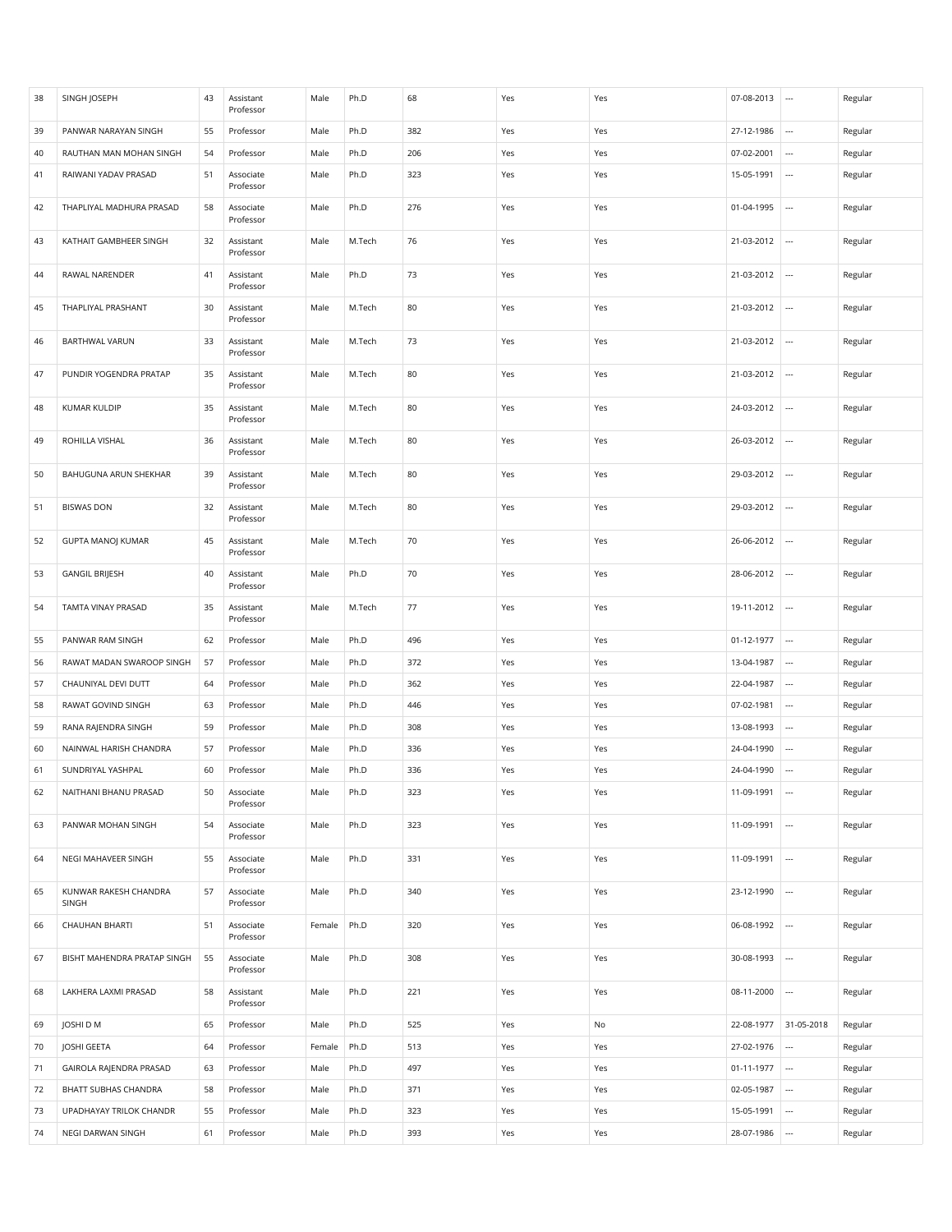| 38 | SINGH JOSEPH                   | 43 | Assistant<br>Professor | Male   | Ph.D   | 68  | Yes | Yes | 07-08-2013 | $\overline{\phantom{a}}$ | Regular |
|----|--------------------------------|----|------------------------|--------|--------|-----|-----|-----|------------|--------------------------|---------|
| 39 | PANWAR NARAYAN SINGH           | 55 | Professor              | Male   | Ph.D   | 382 | Yes | Yes | 27-12-1986 |                          | Regular |
| 40 | RAUTHAN MAN MOHAN SINGH        | 54 | Professor              | Male   | Ph.D   | 206 | Yes | Yes | 07-02-2001 | $\cdots$                 | Regular |
| 41 | RAIWANI YADAV PRASAD           | 51 | Associate<br>Professor | Male   | Ph.D   | 323 | Yes | Yes | 15-05-1991 |                          | Regular |
| 42 | THAPLIYAL MADHURA PRASAD       | 58 | Associate<br>Professor | Male   | Ph.D   | 276 | Yes | Yes | 01-04-1995 | $\overline{\phantom{a}}$ | Regular |
| 43 | KATHAIT GAMBHEER SINGH         | 32 | Assistant<br>Professor | Male   | M.Tech | 76  | Yes | Yes | 21-03-2012 |                          | Regular |
| 44 | RAWAL NARENDER                 | 41 | Assistant<br>Professor | Male   | Ph.D   | 73  | Yes | Yes | 21-03-2012 |                          | Regular |
| 45 | THAPLIYAL PRASHANT             | 30 | Assistant<br>Professor | Male   | M.Tech | 80  | Yes | Yes | 21-03-2012 | $\overline{\phantom{a}}$ | Regular |
| 46 | <b>BARTHWAL VARUN</b>          | 33 | Assistant<br>Professor | Male   | M.Tech | 73  | Yes | Yes | 21-03-2012 | $\overline{\phantom{a}}$ | Regular |
| 47 | PUNDIR YOGENDRA PRATAP         | 35 | Assistant<br>Professor | Male   | M.Tech | 80  | Yes | Yes | 21-03-2012 | $\overline{\phantom{a}}$ | Regular |
| 48 | KUMAR KULDIP                   | 35 | Assistant<br>Professor | Male   | M.Tech | 80  | Yes | Yes | 24-03-2012 |                          | Regular |
| 49 | ROHILLA VISHAL                 | 36 | Assistant<br>Professor | Male   | M.Tech | 80  | Yes | Yes | 26-03-2012 | $\overline{\phantom{a}}$ | Regular |
| 50 | BAHUGUNA ARUN SHEKHAR          | 39 | Assistant<br>Professor | Male   | M.Tech | 80  | Yes | Yes | 29-03-2012 |                          | Regular |
| 51 | <b>BISWAS DON</b>              | 32 | Assistant<br>Professor | Male   | M.Tech | 80  | Yes | Yes | 29-03-2012 | $\overline{\phantom{a}}$ | Regular |
| 52 | <b>GUPTA MANOJ KUMAR</b>       | 45 | Assistant<br>Professor | Male   | M.Tech | 70  | Yes | Yes | 26-06-2012 |                          | Regular |
| 53 | <b>GANGIL BRIJESH</b>          | 40 | Assistant<br>Professor | Male   | Ph.D   | 70  | Yes | Yes | 28-06-2012 |                          | Regular |
| 54 | TAMTA VINAY PRASAD             | 35 | Assistant<br>Professor | Male   | M.Tech | 77  | Yes | Yes | 19-11-2012 | $\overline{\phantom{a}}$ | Regular |
| 55 | PANWAR RAM SINGH               | 62 | Professor              | Male   | Ph.D   | 496 | Yes | Yes | 01-12-1977 | $\overline{\phantom{a}}$ | Regular |
| 56 | RAWAT MADAN SWAROOP SINGH      | 57 | Professor              | Male   | Ph.D   | 372 | Yes | Yes | 13-04-1987 | $\overline{\phantom{a}}$ | Regular |
| 57 | CHAUNIYAL DEVI DUTT            | 64 | Professor              | Male   | Ph.D   | 362 | Yes | Yes | 22-04-1987 | $\overline{\phantom{a}}$ | Regular |
| 58 | RAWAT GOVIND SINGH             | 63 | Professor              | Male   | Ph.D   | 446 | Yes | Yes | 07-02-1981 |                          | Regular |
| 59 | RANA RAJENDRA SINGH            | 59 | Professor              | Male   | Ph.D   | 308 | Yes | Yes | 13-08-1993 | $\cdots$                 | Regular |
| 60 | NAINWAL HARISH CHANDRA         | 57 | Professor              | Male   | Ph.D   | 336 | Yes | Yes | 24-04-1990 |                          | Regular |
| 61 | SUNDRIYAL YASHPAL              | 60 | Professor              | Male   | Ph.D   | 336 | Yes | Yes | 24-04-1990 | $\overline{\phantom{a}}$ | Regular |
| 62 | NAITHANI BHANU PRASAD          | 50 | Associate<br>Professor | Male   | Ph.D   | 323 | Yes | Yes | 11-09-1991 | $\cdots$                 | Regular |
| 63 | PANWAR MOHAN SINGH             | 54 | Associate<br>Professor | Male   | Ph.D   | 323 | Yes | Yes | 11-09-1991 | $\overline{\phantom{a}}$ | Regular |
| 64 | NEGI MAHAVEER SINGH            | 55 | Associate<br>Professor | Male   | Ph.D   | 331 | Yes | Yes | 11-09-1991 | $\cdots$                 | Regular |
| 65 | KUNWAR RAKESH CHANDRA<br>SINGH | 57 | Associate<br>Professor | Male   | Ph.D   | 340 | Yes | Yes | 23-12-1990 | $\cdots$                 | Regular |
| 66 | <b>CHAUHAN BHARTI</b>          | 51 | Associate<br>Professor | Female | Ph.D   | 320 | Yes | Yes | 06-08-1992 | $\cdots$                 | Regular |
| 67 | BISHT MAHENDRA PRATAP SINGH    | 55 | Associate<br>Professor | Male   | Ph.D   | 308 | Yes | Yes | 30-08-1993 | $\cdots$                 | Regular |
| 68 | LAKHERA LAXMI PRASAD           | 58 | Assistant<br>Professor | Male   | Ph.D   | 221 | Yes | Yes | 08-11-2000 | $\ddotsc$                | Regular |
| 69 | JOSHI D M                      | 65 | Professor              | Male   | Ph.D   | 525 | Yes | No  | 22-08-1977 | 31-05-2018               | Regular |
| 70 | JOSHI GEETA                    | 64 | Professor              | Female | Ph.D   | 513 | Yes | Yes | 27-02-1976 | $\overline{\phantom{a}}$ | Regular |
| 71 | GAIROLA RAJENDRA PRASAD        | 63 | Professor              | Male   | Ph.D   | 497 | Yes | Yes | 01-11-1977 | $\cdots$                 | Regular |
| 72 | BHATT SUBHAS CHANDRA           | 58 | Professor              | Male   | Ph.D   | 371 | Yes | Yes | 02-05-1987 | $\overline{\phantom{a}}$ | Regular |
| 73 | UPADHAYAY TRILOK CHANDR        | 55 | Professor              | Male   | Ph.D   | 323 | Yes | Yes | 15-05-1991 | $\overline{\phantom{a}}$ | Regular |
| 74 | NEGI DARWAN SINGH              | 61 | Professor              | Male   | Ph.D   | 393 | Yes | Yes | 28-07-1986 | $\cdots$                 | Regular |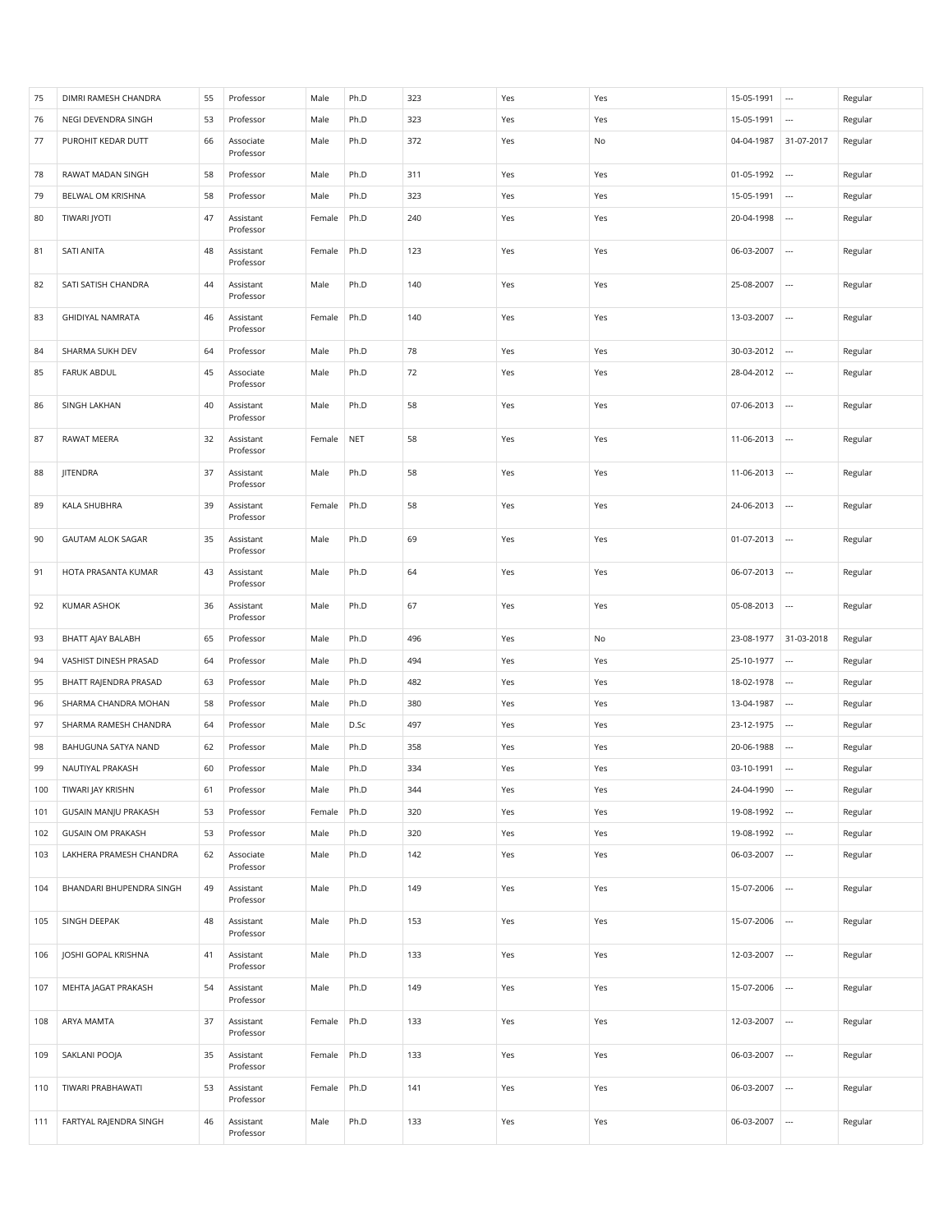| 75  | DIMRI RAMESH CHANDRA        | 55 | Professor              | Male   | Ph.D       | 323 | Yes | Yes | 15-05-1991 | $\cdots$                 | Regular |
|-----|-----------------------------|----|------------------------|--------|------------|-----|-----|-----|------------|--------------------------|---------|
| 76  | NEGI DEVENDRA SINGH         | 53 | Professor              | Male   | Ph.D       | 323 | Yes | Yes | 15-05-1991 |                          | Regular |
| 77  | PUROHIT KEDAR DUTT          | 66 | Associate<br>Professor | Male   | Ph.D       | 372 | Yes | No  | 04-04-1987 | 31-07-2017               | Regular |
| 78  | RAWAT MADAN SINGH           | 58 | Professor              | Male   | Ph.D       | 311 | Yes | Yes | 01-05-1992 | $\ldots$                 | Regular |
| 79  | BELWAL OM KRISHNA           | 58 | Professor              | Male   | Ph.D       | 323 | Yes | Yes | 15-05-1991 | $\overline{\phantom{a}}$ | Regular |
| 80  | TIWARI JYOTI                | 47 | Assistant<br>Professor | Female | Ph.D       | 240 | Yes | Yes | 20-04-1998 |                          | Regular |
| 81  | SATI ANITA                  | 48 | Assistant<br>Professor | Female | Ph.D       | 123 | Yes | Yes | 06-03-2007 | $\overline{\phantom{a}}$ | Regular |
| 82  | SATI SATISH CHANDRA         | 44 | Assistant<br>Professor | Male   | Ph.D       | 140 | Yes | Yes | 25-08-2007 | $\ldots$                 | Regular |
| 83  | <b>GHIDIYAL NAMRATA</b>     | 46 | Assistant<br>Professor | Female | Ph.D       | 140 | Yes | Yes | 13-03-2007 | $\overline{\phantom{a}}$ | Regular |
| 84  | SHARMA SUKH DEV             | 64 | Professor              | Male   | Ph.D       | 78  | Yes | Yes | 30-03-2012 |                          | Regular |
| 85  | <b>FARUK ABDUL</b>          | 45 | Associate<br>Professor | Male   | Ph.D       | 72  | Yes | Yes | 28-04-2012 | $\overline{\phantom{a}}$ | Regular |
| 86  | SINGH LAKHAN                | 40 | Assistant<br>Professor | Male   | Ph.D       | 58  | Yes | Yes | 07-06-2013 |                          | Regular |
| 87  | RAWAT MEERA                 | 32 | Assistant<br>Professor | Female | <b>NET</b> | 58  | Yes | Yes | 11-06-2013 |                          | Regular |
| 88  | JITENDRA                    | 37 | Assistant<br>Professor | Male   | Ph.D       | 58  | Yes | Yes | 11-06-2013 | $\ldots$                 | Regular |
| 89  | KALA SHUBHRA                | 39 | Assistant<br>Professor | Female | Ph.D       | 58  | Yes | Yes | 24-06-2013 | ---                      | Regular |
| 90  | <b>GAUTAM ALOK SAGAR</b>    | 35 | Assistant<br>Professor | Male   | Ph.D       | 69  | Yes | Yes | 01-07-2013 |                          | Regular |
| 91  | HOTA PRASANTA KUMAR         | 43 | Assistant<br>Professor | Male   | Ph.D       | 64  | Yes | Yes | 06-07-2013 |                          | Regular |
| 92  | KUMAR ASHOK                 | 36 | Assistant              | Male   | Ph.D       | 67  | Yes | Yes | 05-08-2013 | $\cdots$                 | Regular |
|     |                             |    | Professor              |        |            |     |     |     |            |                          |         |
| 93  | BHATT AJAY BALABH           | 65 | Professor              | Male   | Ph.D       | 496 | Yes | No  | 23-08-1977 | 31-03-2018               | Regular |
| 94  | VASHIST DINESH PRASAD       | 64 | Professor              | Male   | Ph.D       | 494 | Yes | Yes | 25-10-1977 | $\overline{\phantom{a}}$ | Regular |
| 95  | BHATT RAJENDRA PRASAD       | 63 | Professor              | Male   | Ph.D       | 482 | Yes | Yes | 18-02-1978 |                          | Regular |
| 96  | SHARMA CHANDRA MOHAN        | 58 | Professor              | Male   | Ph.D       | 380 | Yes | Yes | 13-04-1987 | $\overline{\phantom{a}}$ | Regular |
| 97  | SHARMA RAMESH CHANDRA       | 64 | Professor              | Male   | D.Sc       | 497 | Yes | Yes | 23-12-1975 | $\ldots$                 | Regular |
| 98  | BAHUGUNA SATYA NAND         | 62 | Professor              | Male   | Ph.D       | 358 | Yes | Yes | 20-06-1988 | $\overline{\phantom{a}}$ | Regular |
| 99  | NAUTIYAL PRAKASH            | 60 | Professor              | Male   | Ph.D       | 334 | Yes | Yes | 03-10-1991 | $\overline{\phantom{a}}$ | Regular |
| 100 | TIWARI JAY KRISHN           | 61 | Professor              | Male   | Ph.D       | 344 | Yes | Yes | 24-04-1990 | $\ldots$                 | Regular |
| 101 | <b>GUSAIN MANJU PRAKASH</b> | 53 | Professor              | Female | Ph.D       | 320 | Yes | Yes | 19-08-1992 | $\ldots$                 | Regular |
| 102 | <b>GUSAIN OM PRAKASH</b>    | 53 | Professor              | Male   | Ph.D       | 320 | Yes | Yes | 19-08-1992 | $\ldots$                 | Regular |
| 103 | LAKHERA PRAMESH CHANDRA     | 62 | Associate<br>Professor | Male   | Ph.D       | 142 | Yes | Yes | 06-03-2007 |                          | Regular |
| 104 | BHANDARI BHUPENDRA SINGH    | 49 | Assistant<br>Professor | Male   | Ph.D       | 149 | Yes | Yes | 15-07-2006 | $\ldots$                 | Regular |
| 105 | SINGH DEEPAK                | 48 | Assistant<br>Professor | Male   | Ph.D       | 153 | Yes | Yes | 15-07-2006 | $\ldots$                 | Regular |
| 106 | <b>JOSHI GOPAL KRISHNA</b>  | 41 | Assistant<br>Professor | Male   | Ph.D       | 133 | Yes | Yes | 12-03-2007 | $\ldots$                 | Regular |
| 107 | MEHTA JAGAT PRAKASH         | 54 | Assistant<br>Professor | Male   | Ph.D       | 149 | Yes | Yes | 15-07-2006 | $\ldots$                 | Regular |
| 108 | ARYA MAMTA                  | 37 | Assistant<br>Professor | Female | Ph.D       | 133 | Yes | Yes | 12-03-2007 | $\ldots$                 | Regular |
| 109 | SAKLANI POOJA               | 35 | Assistant<br>Professor | Female | Ph.D       | 133 | Yes | Yes | 06-03-2007 | $\ldots$                 | Regular |
| 110 | TIWARI PRABHAWATI           | 53 | Assistant<br>Professor | Female | Ph.D       | 141 | Yes | Yes | 06-03-2007 |                          | Regular |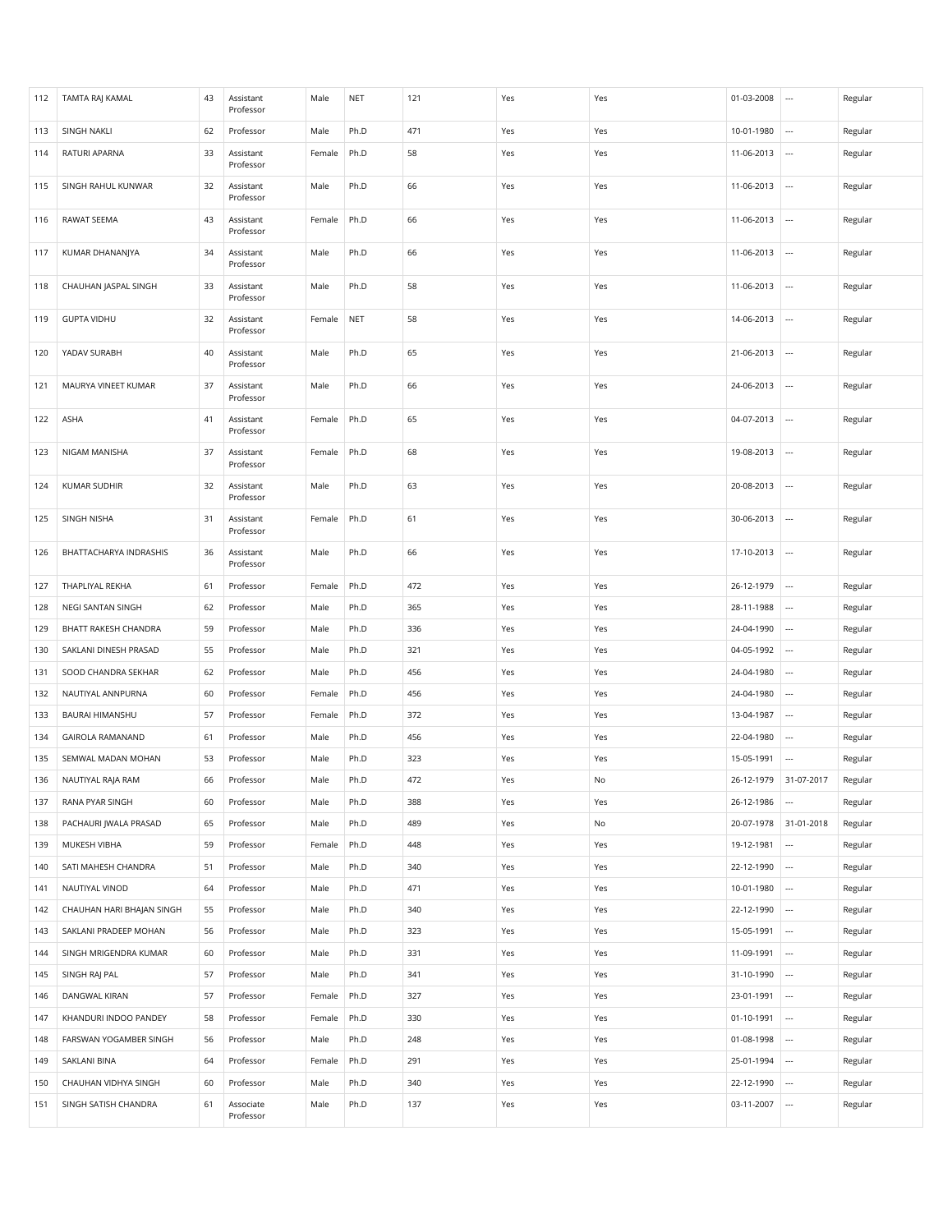| 112 | <b>TAMTA RAJ KAMAL</b>    | 43 | Assistant<br>Professor | Male   | <b>NET</b> | 121 | Yes | Yes | 01-03-2008 | $\overline{\phantom{a}}$ | Regular |
|-----|---------------------------|----|------------------------|--------|------------|-----|-----|-----|------------|--------------------------|---------|
| 113 | <b>SINGH NAKLI</b>        | 62 | Professor              | Male   | Ph.D       | 471 | Yes | Yes | 10-01-1980 |                          | Regular |
| 114 | RATURI APARNA             | 33 | Assistant<br>Professor | Female | Ph.D       | 58  | Yes | Yes | 11-06-2013 | $\overline{\phantom{a}}$ | Regular |
| 115 | SINGH RAHUL KUNWAR        | 32 | Assistant<br>Professor | Male   | Ph.D       | 66  | Yes | Yes | 11-06-2013 |                          | Regular |
| 116 | RAWAT SEEMA               | 43 | Assistant<br>Professor | Female | Ph.D       | 66  | Yes | Yes | 11-06-2013 | $\cdots$                 | Regular |
| 117 | KUMAR DHANANJYA           | 34 | Assistant<br>Professor | Male   | Ph.D       | 66  | Yes | Yes | 11-06-2013 | $\cdots$                 | Regular |
| 118 | CHAUHAN JASPAL SINGH      | 33 | Assistant<br>Professor | Male   | Ph.D       | 58  | Yes | Yes | 11-06-2013 | $\cdots$                 | Regular |
| 119 | <b>GUPTA VIDHU</b>        | 32 | Assistant<br>Professor | Female | <b>NET</b> | 58  | Yes | Yes | 14-06-2013 | $\overline{\phantom{a}}$ | Regular |
| 120 | YADAV SURABH              | 40 | Assistant<br>Professor | Male   | Ph.D       | 65  | Yes | Yes | 21-06-2013 |                          | Regular |
| 121 | MAURYA VINEET KUMAR       | 37 | Assistant<br>Professor | Male   | Ph.D       | 66  | Yes | Yes | 24-06-2013 | $\overline{\phantom{a}}$ | Regular |
| 122 | ASHA                      | 41 | Assistant<br>Professor | Female | Ph.D       | 65  | Yes | Yes | 04-07-2013 | $\cdots$                 | Regular |
| 123 | NIGAM MANISHA             | 37 | Assistant<br>Professor | Female | Ph.D       | 68  | Yes | Yes | 19-08-2013 | $\cdots$                 | Regular |
| 124 | <b>KUMAR SUDHIR</b>       | 32 | Assistant<br>Professor | Male   | Ph.D       | 63  | Yes | Yes | 20-08-2013 | $\cdots$                 | Regular |
| 125 | SINGH NISHA               | 31 | Assistant<br>Professor | Female | Ph.D       | 61  | Yes | Yes | 30-06-2013 |                          | Regular |
| 126 | BHATTACHARYA INDRASHIS    | 36 | Assistant<br>Professor | Male   | Ph.D       | 66  | Yes | Yes | 17-10-2013 | $\cdots$                 | Regular |
| 127 | THAPLIYAL REKHA           | 61 | Professor              | Female | Ph.D       | 472 | Yes | Yes | 26-12-1979 | $\overline{\phantom{a}}$ | Regular |
| 128 | NEGI SANTAN SINGH         | 62 | Professor              | Male   | Ph.D       | 365 | Yes | Yes | 28-11-1988 | $\cdots$                 | Regular |
| 129 | BHATT RAKESH CHANDRA      | 59 | Professor              | Male   | Ph.D       | 336 | Yes | Yes | 24-04-1990 | $\overline{\phantom{a}}$ | Regular |
| 130 | SAKLANI DINESH PRASAD     | 55 | Professor              | Male   | Ph.D       | 321 | Yes | Yes | 04-05-1992 | $\overline{\phantom{a}}$ | Regular |
| 131 | SOOD CHANDRA SEKHAR       | 62 | Professor              | Male   | Ph.D       | 456 | Yes | Yes | 24-04-1980 | $\cdots$                 | Regular |
| 132 | NAUTIYAL ANNPURNA         | 60 | Professor              | Female | Ph.D       | 456 | Yes | Yes | 24-04-1980 | $\overline{\phantom{a}}$ | Regular |
| 133 | BAURAI HIMANSHU           | 57 | Professor              | Female | Ph.D       | 372 | Yes | Yes | 13-04-1987 | $\cdots$                 | Regular |
| 134 | <b>GAIROLA RAMANAND</b>   | 61 | Professor              | Male   | Ph.D       | 456 | Yes | Yes | 22-04-1980 | $\cdots$                 | Regular |
| 135 | SEMWAL MADAN MOHAN        | 53 | Professor              | Male   | Ph.D       | 323 | Yes | Yes | 15-05-1991 |                          | Regular |
| 136 | NAUTIYAL RAJA RAM         | 66 | Professor              | Male   | Ph.D       | 472 | Yes | No  | 26-12-1979 | 31-07-2017               | Regular |
| 137 | RANA PYAR SINGH           | 60 | Professor              | Male   | Ph.D       | 388 | Yes | Yes | 26-12-1986 | $\cdots$                 | Regular |
| 138 | PACHAURI JWALA PRASAD     | 65 | Professor              | Male   | Ph.D       | 489 | Yes | No  | 20-07-1978 | 31-01-2018               | Regular |
| 139 | MUKESH VIBHA              | 59 | Professor              | Female | Ph.D       | 448 | Yes | Yes | 19-12-1981 | $\cdots$                 | Regular |
| 140 | SATI MAHESH CHANDRA       | 51 | Professor              | Male   | Ph.D       | 340 | Yes | Yes | 22-12-1990 |                          | Regular |
| 141 | NAUTIYAL VINOD            | 64 | Professor              | Male   | Ph.D       | 471 | Yes | Yes | 10-01-1980 | $\cdots$                 | Regular |
| 142 | CHAUHAN HARI BHAJAN SINGH | 55 | Professor              | Male   | Ph.D       | 340 | Yes | Yes | 22-12-1990 | $\cdots$                 | Regular |
| 143 | SAKLANI PRADEEP MOHAN     | 56 | Professor              | Male   | Ph.D       | 323 | Yes | Yes | 15-05-1991 | $\overline{\phantom{a}}$ | Regular |
| 144 | SINGH MRIGENDRA KUMAR     | 60 | Professor              | Male   | Ph.D       | 331 | Yes | Yes | 11-09-1991 | $\cdots$                 | Regular |
| 145 | SINGH RAJ PAL             | 57 | Professor              | Male   | Ph.D       | 341 | Yes | Yes | 31-10-1990 |                          | Regular |
| 146 | DANGWAL KIRAN             | 57 | Professor              | Female | Ph.D       | 327 | Yes | Yes | 23-01-1991 |                          | Regular |
| 147 | KHANDURI INDOO PANDEY     | 58 | Professor              | Female | Ph.D       | 330 | Yes | Yes | 01-10-1991 |                          | Regular |
| 148 | FARSWAN YOGAMBER SINGH    | 56 | Professor              | Male   | Ph.D       | 248 | Yes | Yes | 01-08-1998 |                          | Regular |
| 149 | SAKLANI BINA              | 64 | Professor              | Female | Ph.D       | 291 | Yes | Yes | 25-01-1994 | $\overline{\phantom{a}}$ | Regular |
| 150 | CHAUHAN VIDHYA SINGH      | 60 | Professor              | Male   | Ph.D       | 340 | Yes | Yes | 22-12-1990 | $\cdots$                 | Regular |
|     |                           | 61 |                        | Male   | Ph.D       | 137 |     | Yes | 03-11-2007 | $\overline{\phantom{a}}$ | Regular |
| 151 | SINGH SATISH CHANDRA      |    | Associate<br>Professor |        |            |     | Yes |     |            |                          |         |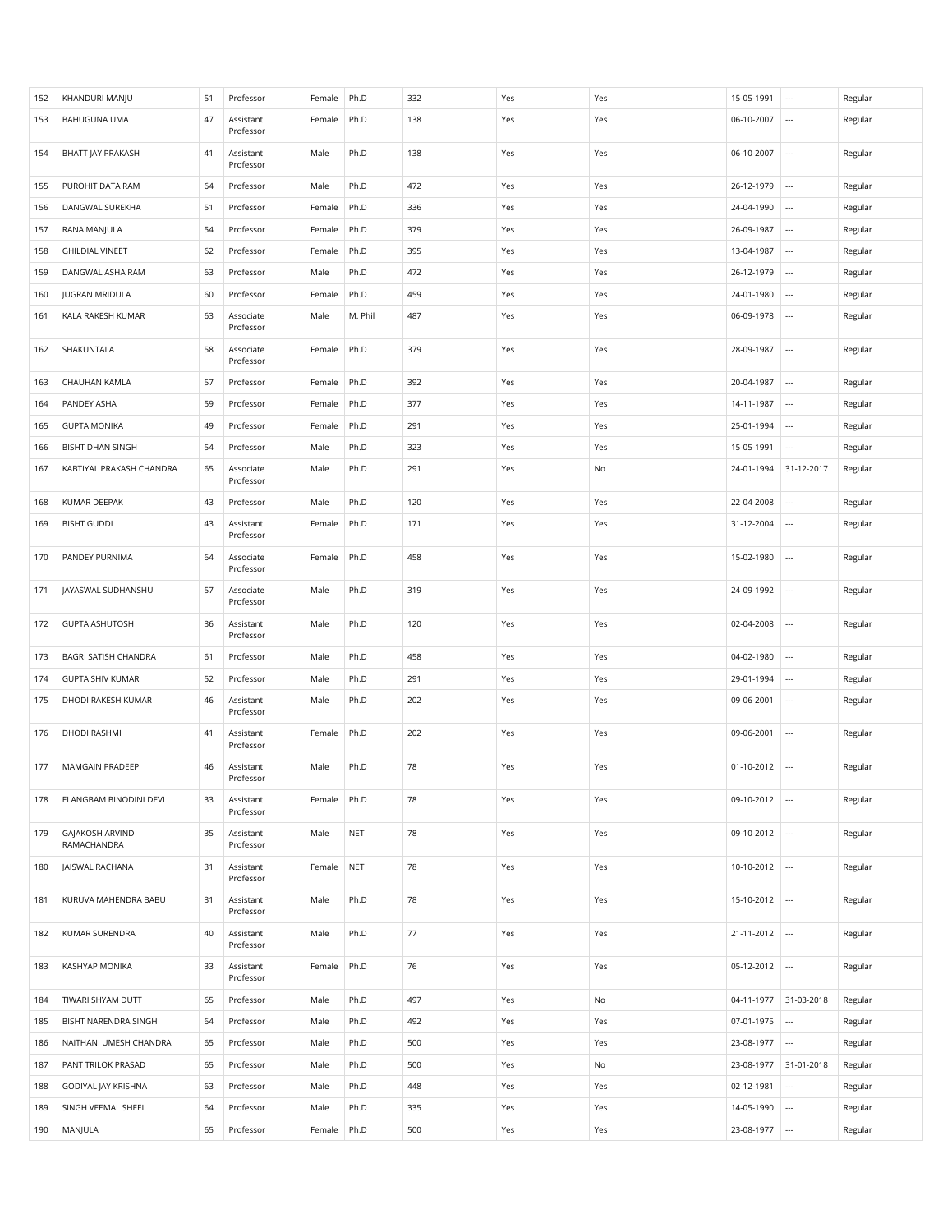| 152 | KHANDURI MANJU                 | 51 | Professor              | Female | Ph.D       | 332 | Yes | Yes | 15-05-1991 | $\overline{\phantom{a}}$ | Regular |
|-----|--------------------------------|----|------------------------|--------|------------|-----|-----|-----|------------|--------------------------|---------|
| 153 | BAHUGUNA UMA                   | 47 | Assistant<br>Professor | Female | Ph.D       | 138 | Yes | Yes | 06-10-2007 |                          | Regular |
| 154 | BHATT JAY PRAKASH              | 41 | Assistant<br>Professor | Male   | Ph.D       | 138 | Yes | Yes | 06-10-2007 | $\cdots$                 | Regular |
| 155 | PUROHIT DATA RAM               | 64 | Professor              | Male   | Ph.D       | 472 | Yes | Yes | 26-12-1979 | $\overline{\phantom{a}}$ | Regular |
| 156 | DANGWAL SUREKHA                | 51 | Professor              | Female | Ph.D       | 336 | Yes | Yes | 24-04-1990 |                          | Regular |
| 157 | RANA MANJULA                   | 54 | Professor              | Female | Ph.D       | 379 | Yes | Yes | 26-09-1987 | $\overline{\phantom{a}}$ | Regular |
| 158 | <b>GHILDIAL VINEET</b>         | 62 | Professor              | Female | Ph.D       | 395 | Yes | Yes | 13-04-1987 | $\overline{\phantom{a}}$ | Regular |
| 159 | DANGWAL ASHA RAM               | 63 | Professor              | Male   | Ph.D       | 472 | Yes | Yes | 26-12-1979 |                          | Regular |
| 160 | <b>JUGRAN MRIDULA</b>          | 60 | Professor              | Female | Ph.D       | 459 | Yes | Yes | 24-01-1980 | $\overline{\phantom{a}}$ | Regular |
| 161 | KALA RAKESH KUMAR              | 63 | Associate<br>Professor | Male   | M. Phil    | 487 | Yes | Yes | 06-09-1978 | $\overline{\phantom{a}}$ | Regular |
| 162 | SHAKUNTALA                     | 58 | Associate<br>Professor | Female | Ph.D       | 379 | Yes | Yes | 28-09-1987 |                          | Regular |
| 163 | CHAUHAN KAMLA                  | 57 | Professor              | Female | Ph.D       | 392 | Yes | Yes | 20-04-1987 |                          | Regular |
| 164 | PANDEY ASHA                    | 59 | Professor              | Female | Ph.D       | 377 | Yes | Yes | 14-11-1987 | $\cdots$                 | Regular |
| 165 | <b>GUPTA MONIKA</b>            | 49 | Professor              | Female | Ph.D       | 291 | Yes | Yes | 25-01-1994 |                          | Regular |
| 166 | <b>BISHT DHAN SINGH</b>        | 54 | Professor              | Male   | Ph.D       | 323 | Yes | Yes | 15-05-1991 |                          | Regular |
| 167 | KABTIYAL PRAKASH CHANDRA       | 65 | Associate              | Male   | Ph.D       | 291 | Yes | No  | 24-01-1994 | 31-12-2017               | Regular |
|     |                                |    | Professor              |        |            |     |     |     |            |                          |         |
| 168 | KUMAR DEEPAK                   | 43 | Professor              | Male   | Ph.D       | 120 | Yes | Yes | 22-04-2008 |                          | Regular |
| 169 | <b>BISHT GUDDI</b>             | 43 | Assistant<br>Professor | Female | Ph.D       | 171 | Yes | Yes | 31-12-2004 | $\overline{\phantom{a}}$ | Regular |
| 170 | PANDEY PURNIMA                 | 64 | Associate<br>Professor | Female | Ph.D       | 458 | Yes | Yes | 15-02-1980 |                          | Regular |
| 171 | JAYASWAL SUDHANSHU             | 57 | Associate<br>Professor | Male   | Ph.D       | 319 | Yes | Yes | 24-09-1992 |                          | Regular |
| 172 | <b>GUPTA ASHUTOSH</b>          | 36 | Assistant<br>Professor | Male   | Ph.D       | 120 | Yes | Yes | 02-04-2008 | $\overline{\phantom{a}}$ | Regular |
| 173 | BAGRI SATISH CHANDRA           | 61 | Professor              | Male   | Ph.D       | 458 | Yes | Yes | 04-02-1980 | $\overline{\phantom{a}}$ | Regular |
| 174 | <b>GUPTA SHIV KUMAR</b>        | 52 | Professor              | Male   | Ph.D       | 291 | Yes | Yes | 29-01-1994 | $\overline{\phantom{a}}$ | Regular |
| 175 | DHODI RAKESH KUMAR             | 46 | Assistant<br>Professor | Male   | Ph.D       | 202 | Yes | Yes | 09-06-2001 |                          | Regular |
| 176 | DHODI RASHMI                   | 41 | Assistant<br>Professor | Female | Ph.D       | 202 | Yes | Yes | 09-06-2001 | $\cdots$                 | Regular |
| 177 | MAMGAIN PRADEEP                | 46 | Assistant<br>Professor | Male   | Ph.D       | 78  | Yes | Yes | 01-10-2012 | $\overline{\phantom{a}}$ | Regular |
| 178 | ELANGBAM BINODINI DEVI         | 33 | Assistant<br>Professor | Female | Ph.D       | 78  | Yes | Yes | 09-10-2012 | $\overline{\phantom{a}}$ | Regular |
| 179 | GAJAKOSH ARVIND<br>RAMACHANDRA | 35 | Assistant<br>Professor | Male   | <b>NET</b> | 78  | Yes | Yes | 09-10-2012 | $\cdots$                 | Regular |
| 180 | JAISWAL RACHANA                | 31 | Assistant<br>Professor | Female | <b>NET</b> | 78  | Yes | Yes | 10-10-2012 | $\cdots$                 | Regular |
| 181 | KURUVA MAHENDRA BABU           | 31 | Assistant<br>Professor | Male   | Ph.D       | 78  | Yes | Yes | 15-10-2012 | $\overline{\phantom{a}}$ | Regular |
| 182 | <b>KUMAR SURENDRA</b>          | 40 | Assistant<br>Professor | Male   | Ph.D       | 77  | Yes | Yes | 21-11-2012 | $\overline{\phantom{a}}$ | Regular |
| 183 | KASHYAP MONIKA                 | 33 | Assistant<br>Professor | Female | Ph.D       | 76  | Yes | Yes | 05-12-2012 |                          | Regular |
| 184 | TIWARI SHYAM DUTT              | 65 | Professor              | Male   | Ph.D       | 497 | Yes | No  | 04-11-1977 | 31-03-2018               | Regular |
| 185 | BISHT NARENDRA SINGH           | 64 | Professor              | Male   | Ph.D       | 492 | Yes | Yes | 07-01-1975 | $\overline{\phantom{a}}$ | Regular |
| 186 | NAITHANI UMESH CHANDRA         | 65 | Professor              | Male   | Ph.D       | 500 | Yes | Yes | 23-08-1977 | $\overline{\phantom{a}}$ | Regular |
| 187 | PANT TRILOK PRASAD             | 65 | Professor              | Male   | Ph.D       | 500 | Yes | No  | 23-08-1977 | 31-01-2018               | Regular |
| 188 | GODIYAL JAY KRISHNA            | 63 | Professor              | Male   | Ph.D       | 448 | Yes | Yes | 02-12-1981 | $\overline{\phantom{a}}$ | Regular |
| 189 | SINGH VEEMAL SHEEL             | 64 | Professor              | Male   | Ph.D       | 335 | Yes | Yes | 14-05-1990 |                          | Regular |
| 190 | MANJULA                        | 65 | Professor              | Female | Ph.D       | 500 | Yes | Yes | 23-08-1977 |                          | Regular |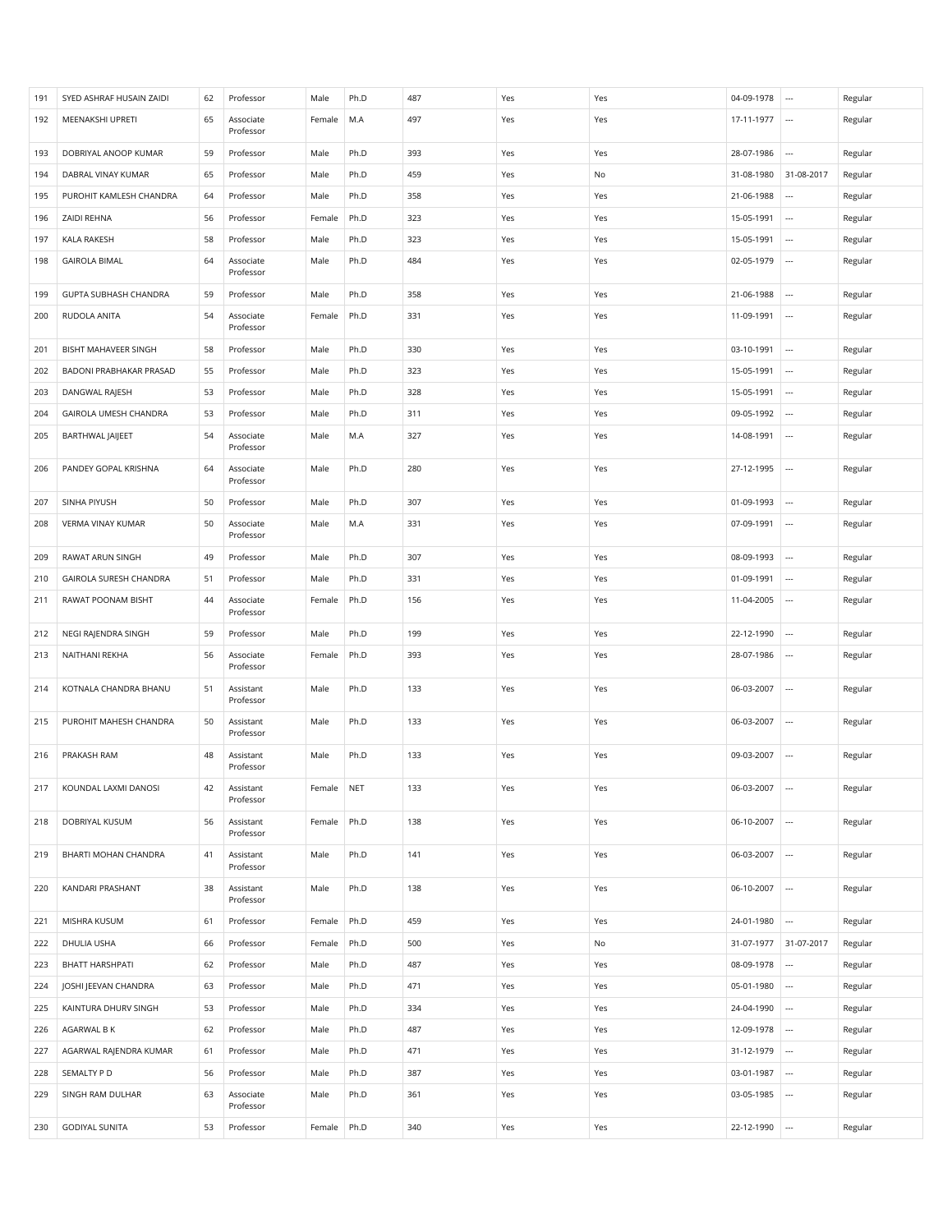| 191 | SYED ASHRAF HUSAIN ZAIDI | 62 | Professor              | Male       | Ph.D | 487 | Yes | Yes | 04-09-1978 | $\overline{\phantom{a}}$ | Regular |
|-----|--------------------------|----|------------------------|------------|------|-----|-----|-----|------------|--------------------------|---------|
| 192 | MEENAKSHI UPRETI         | 65 | Associate<br>Professor | Female     | M.A  | 497 | Yes | Yes | 17-11-1977 | $\overline{\phantom{a}}$ | Regular |
| 193 | DOBRIYAL ANOOP KUMAR     | 59 | Professor              | Male       | Ph.D | 393 | Yes | Yes | 28-07-1986 | $\ldots$                 | Regular |
| 194 | DABRAL VINAY KUMAR       | 65 | Professor              | Male       | Ph.D | 459 | Yes | No  | 31-08-1980 | 31-08-2017               | Regular |
| 195 | PUROHIT KAMLESH CHANDRA  | 64 | Professor              | Male       | Ph.D | 358 | Yes | Yes | 21-06-1988 | $\overline{\phantom{a}}$ | Regular |
| 196 | ZAIDI REHNA              | 56 | Professor              | Female     | Ph.D | 323 | Yes | Yes | 15-05-1991 |                          | Regular |
| 197 | KALA RAKESH              | 58 | Professor              | Male       | Ph.D | 323 | Yes | Yes | 15-05-1991 | $\cdots$                 | Regular |
| 198 | <b>GAIROLA BIMAL</b>     | 64 | Associate<br>Professor | Male       | Ph.D | 484 | Yes | Yes | 02-05-1979 |                          | Regular |
| 199 | GUPTA SUBHASH CHANDRA    | 59 | Professor              | Male       | Ph.D | 358 | Yes | Yes | 21-06-1988 | $\cdots$                 | Regular |
| 200 | RUDOLA ANITA             | 54 | Associate<br>Professor | Female     | Ph.D | 331 | Yes | Yes | 11-09-1991 | $\overline{\phantom{a}}$ | Regular |
| 201 | BISHT MAHAVEER SINGH     | 58 | Professor              | Male       | Ph.D | 330 | Yes | Yes | 03-10-1991 | $\cdots$                 | Regular |
| 202 | BADONI PRABHAKAR PRASAD  | 55 | Professor              | Male       | Ph.D | 323 | Yes | Yes | 15-05-1991 |                          | Regular |
| 203 | DANGWAL RAJESH           | 53 | Professor              | Male       | Ph.D | 328 | Yes | Yes | 15-05-1991 |                          | Regular |
| 204 | GAIROLA UMESH CHANDRA    | 53 | Professor              | Male       | Ph.D | 311 | Yes | Yes | 09-05-1992 | $\cdots$                 | Regular |
| 205 | BARTHWAL JAIJEET         | 54 | Associate<br>Professor | Male       | M.A  | 327 | Yes | Yes | 14-08-1991 | $\overline{\phantom{a}}$ | Regular |
| 206 | PANDEY GOPAL KRISHNA     | 64 | Associate<br>Professor | Male       | Ph.D | 280 | Yes | Yes | 27-12-1995 | $\overline{\phantom{a}}$ | Regular |
| 207 | SINHA PIYUSH             | 50 | Professor              | Male       | Ph.D | 307 | Yes | Yes | 01-09-1993 | $\overline{\phantom{a}}$ | Regular |
| 208 | VERMA VINAY KUMAR        | 50 | Associate<br>Professor | Male       | M.A  | 331 | Yes | Yes | 07-09-1991 | $\overline{\phantom{a}}$ | Regular |
| 209 | RAWAT ARUN SINGH         | 49 | Professor              | Male       | Ph.D | 307 | Yes | Yes | 08-09-1993 |                          | Regular |
| 210 | GAIROLA SURESH CHANDRA   | 51 | Professor              | Male       | Ph.D | 331 | Yes | Yes | 01-09-1991 | $\overline{\phantom{a}}$ | Regular |
| 211 | RAWAT POONAM BISHT       | 44 | Associate<br>Professor | Female     | Ph.D | 156 | Yes | Yes | 11-04-2005 | $\overline{\phantom{a}}$ | Regular |
| 212 | NEGI RAJENDRA SINGH      | 59 | Professor              | Male       | Ph.D | 199 | Yes | Yes | 22-12-1990 | $\cdots$                 | Regular |
| 213 | NAITHANI REKHA           | 56 | Associate<br>Professor | Female     | Ph.D | 393 | Yes | Yes | 28-07-1986 | $\overline{\phantom{a}}$ | Regular |
| 214 | KOTNALA CHANDRA BHANU    | 51 | Assistant<br>Professor | Male       | Ph.D | 133 | Yes | Yes | 06-03-2007 |                          | Regular |
| 215 | PUROHIT MAHESH CHANDRA   | 50 | Assistant<br>Professor | Male       | Ph.D | 133 | Yes | Yes | 06-03-2007 | $\overline{\phantom{a}}$ | Regular |
| 216 | PRAKASH RAM              | 48 | Assistant<br>Professor | Male       | Ph.D | 133 | Yes | Yes | 09-03-2007 | $\overline{\phantom{a}}$ | Regular |
| 217 | KOUNDAL LAXMI DANOSI     | 42 | Assistant<br>Professor | Female NET |      | 133 | Yes | Yes | 06-03-2007 | $\hspace{0.05cm} \cdots$ | Regular |
| 218 | DOBRIYAL KUSUM           | 56 | Assistant<br>Professor | Female     | Ph.D | 138 | Yes | Yes | 06-10-2007 | $\cdots$                 | Regular |
| 219 | BHARTI MOHAN CHANDRA     | 41 | Assistant<br>Professor | Male       | Ph.D | 141 | Yes | Yes | 06-03-2007 | $\overline{\phantom{a}}$ | Regular |
| 220 | KANDARI PRASHANT         | 38 | Assistant<br>Professor | Male       | Ph.D | 138 | Yes | Yes | 06-10-2007 | $\cdots$                 | Regular |
| 221 | MISHRA KUSUM             | 61 | Professor              | Female     | Ph.D | 459 | Yes | Yes | 24-01-1980 | $\overline{\phantom{a}}$ | Regular |
| 222 | DHULIA USHA              | 66 | Professor              | Female     | Ph.D | 500 | Yes | No  | 31-07-1977 | 31-07-2017               | Regular |
| 223 | BHATT HARSHPATI          | 62 | Professor              | Male       | Ph.D | 487 | Yes | Yes | 08-09-1978 | $\overline{\phantom{a}}$ | Regular |
| 224 | JOSHI JEEVAN CHANDRA     | 63 | Professor              | Male       | Ph.D | 471 | Yes | Yes | 05-01-1980 | $\cdots$                 | Regular |
| 225 | KAINTURA DHURV SINGH     | 53 | Professor              | Male       | Ph.D | 334 | Yes | Yes | 24-04-1990 | $\ldots$                 | Regular |
| 226 | AGARWAL B K              | 62 | Professor              | Male       | Ph.D | 487 | Yes | Yes | 12-09-1978 | $\overline{\phantom{a}}$ | Regular |
| 227 | AGARWAL RAJENDRA KUMAR   | 61 | Professor              | Male       | Ph.D | 471 | Yes | Yes | 31-12-1979 | $\cdots$                 | Regular |
| 228 | SEMALTY PD               | 56 | Professor              | Male       | Ph.D | 387 | Yes | Yes | 03-01-1987 | $\ldots$                 | Regular |
| 229 | SINGH RAM DULHAR         | 63 | Associate<br>Professor | Male       | Ph.D | 361 | Yes | Yes | 03-05-1985 |                          | Regular |
| 230 | <b>GODIYAL SUNITA</b>    | 53 | Professor              | Female     | Ph.D | 340 | Yes | Yes | 22-12-1990 | $\overline{\phantom{a}}$ | Regular |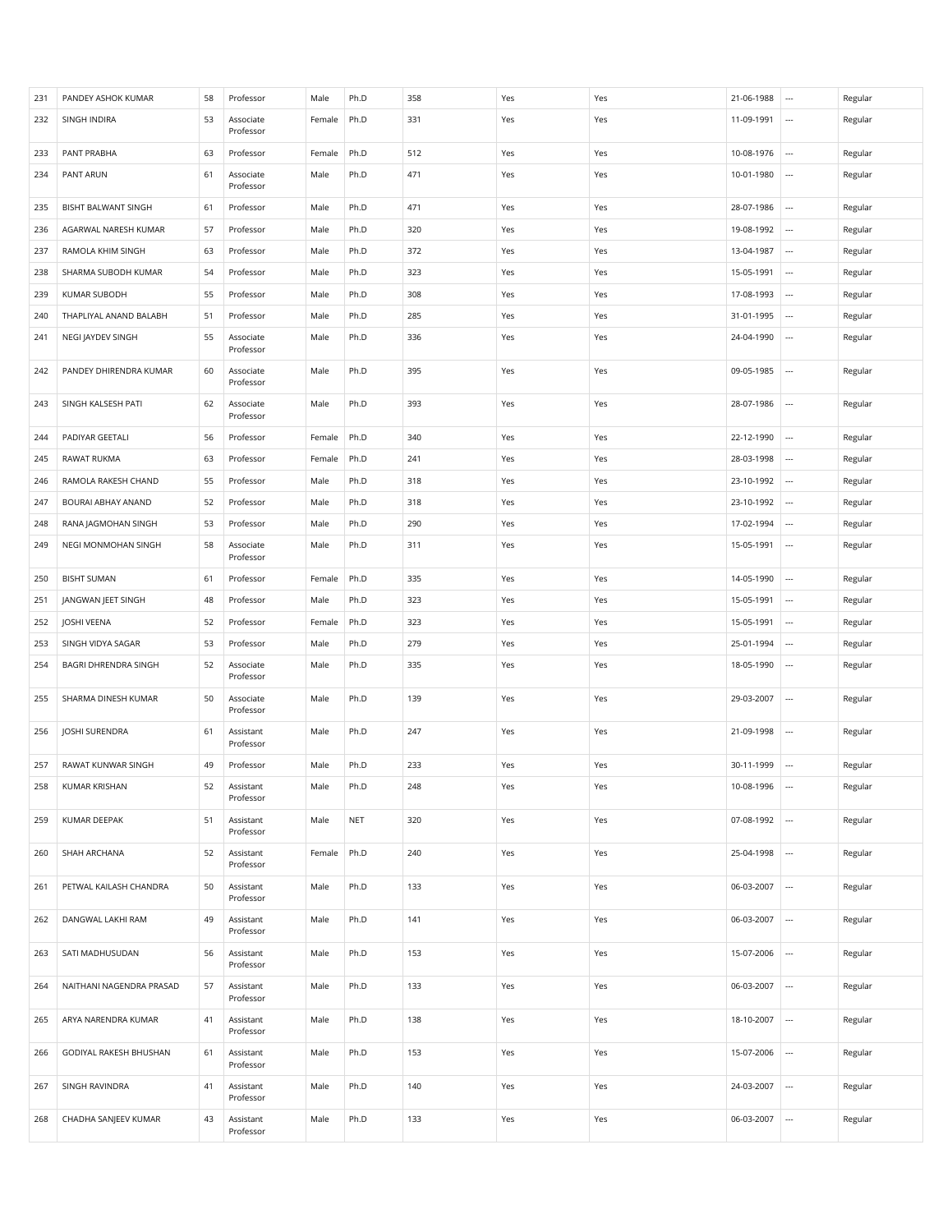| 231 | PANDEY ASHOK KUMAR       | 58 | Professor              | Male   | Ph.D       | 358 | Yes | Yes | 21-06-1988 | $\cdots$                 | Regular |
|-----|--------------------------|----|------------------------|--------|------------|-----|-----|-----|------------|--------------------------|---------|
| 232 | SINGH INDIRA             | 53 | Associate<br>Professor | Female | Ph.D       | 331 | Yes | Yes | 11-09-1991 |                          | Regular |
| 233 | PANT PRABHA              | 63 | Professor              | Female | Ph.D       | 512 | Yes | Yes | 10-08-1976 | $\overline{\phantom{a}}$ | Regular |
| 234 | PANT ARUN                | 61 | Associate<br>Professor | Male   | Ph.D       | 471 | Yes | Yes | 10-01-1980 | $\overline{\phantom{a}}$ | Regular |
| 235 | BISHT BALWANT SINGH      | 61 | Professor              | Male   | Ph.D       | 471 | Yes | Yes | 28-07-1986 |                          | Regular |
| 236 | AGARWAL NARESH KUMAR     | 57 | Professor              | Male   | Ph.D       | 320 | Yes | Yes | 19-08-1992 | $\overline{\phantom{a}}$ | Regular |
| 237 | RAMOLA KHIM SINGH        | 63 | Professor              | Male   | Ph.D       | 372 | Yes | Yes | 13-04-1987 | $\cdots$                 | Regular |
| 238 | SHARMA SUBODH KUMAR      | 54 | Professor              | Male   | Ph.D       | 323 | Yes | Yes | 15-05-1991 |                          | Regular |
| 239 | <b>KUMAR SUBODH</b>      | 55 | Professor              | Male   | Ph.D       | 308 | Yes | Yes | 17-08-1993 |                          | Regular |
| 240 | THAPLIYAL ANAND BALABH   | 51 | Professor              | Male   | Ph.D       | 285 | Yes | Yes | 31-01-1995 | $\cdots$                 | Regular |
| 241 | NEGI JAYDEV SINGH        | 55 | Associate<br>Professor | Male   | Ph.D       | 336 | Yes | Yes | 24-04-1990 | $\overline{\phantom{a}}$ | Regular |
| 242 | PANDEY DHIRENDRA KUMAR   | 60 | Associate<br>Professor | Male   | Ph.D       | 395 | Yes | Yes | 09-05-1985 | $\overline{\phantom{a}}$ | Regular |
| 243 | SINGH KALSESH PATI       | 62 | Associate<br>Professor | Male   | Ph.D       | 393 | Yes | Yes | 28-07-1986 | $\cdots$                 | Regular |
| 244 | PADIYAR GEETALI          | 56 | Professor              | Female | Ph.D       | 340 | Yes | Yes | 22-12-1990 | $\cdots$                 | Regular |
| 245 | RAWAT RUKMA              | 63 | Professor              | Female | Ph.D       | 241 | Yes | Yes | 28-03-1998 |                          | Regular |
| 246 | RAMOLA RAKESH CHAND      | 55 | Professor              | Male   | Ph.D       | 318 | Yes | Yes | 23-10-1992 | $\cdots$                 | Regular |
| 247 | BOURAI ABHAY ANAND       | 52 | Professor              | Male   | Ph.D       | 318 | Yes | Yes | 23-10-1992 | $\cdots$                 | Regular |
| 248 | RANA JAGMOHAN SINGH      | 53 | Professor              | Male   | Ph.D       | 290 | Yes | Yes | 17-02-1994 | $\overline{\phantom{a}}$ | Regular |
| 249 | NEGI MONMOHAN SINGH      | 58 | Associate<br>Professor | Male   | Ph.D       | 311 | Yes | Yes | 15-05-1991 | $\cdots$                 | Regular |
| 250 | <b>BISHT SUMAN</b>       | 61 | Professor              | Female | Ph.D       | 335 | Yes | Yes | 14-05-1990 | $\cdots$                 | Regular |
| 251 | JANGWAN JEET SINGH       | 48 | Professor              | Male   | Ph.D       | 323 | Yes | Yes | 15-05-1991 | $\overline{\phantom{a}}$ | Regular |
| 252 | JOSHI VEENA              | 52 | Professor              | Female | Ph.D       | 323 | Yes | Yes | 15-05-1991 | $\overline{\phantom{a}}$ | Regular |
| 253 | SINGH VIDYA SAGAR        | 53 | Professor              | Male   | Ph.D       | 279 | Yes | Yes | 25-01-1994 | $\cdots$                 | Regular |
| 254 | BAGRI DHRENDRA SINGH     | 52 | Associate<br>Professor | Male   | Ph.D       | 335 | Yes | Yes | 18-05-1990 | $\overline{\phantom{a}}$ | Regular |
| 255 | SHARMA DINESH KUMAR      | 50 | Associate<br>Professor | Male   | Ph.D       | 139 | Yes | Yes | 29-03-2007 |                          | Regular |
| 256 | <b>JOSHI SURENDRA</b>    | 61 | Assistant<br>Professor | Male   | Ph.D       | 247 | Yes | Yes | 21-09-1998 | $\cdots$                 | Regular |
| 257 | RAWAT KUNWAR SINGH       | 49 | Professor              | Male   | Ph.D       | 233 | Yes | Yes | 30-11-1999 | $\cdots$                 | Regular |
| 258 | KUMAR KRISHAN            | 52 | Assistant<br>Professor | Male   | Ph.D       | 248 | Yes | Yes | 10-08-1996 |                          | Regular |
| 259 | KUMAR DEEPAK             | 51 | Assistant<br>Professor | Male   | <b>NET</b> | 320 | Yes | Yes | 07-08-1992 | $\overline{\phantom{a}}$ | Regular |
| 260 | SHAH ARCHANA             | 52 | Assistant<br>Professor | Female | Ph.D       | 240 | Yes | Yes | 25-04-1998 | $\overline{\phantom{a}}$ | Regular |
| 261 | PETWAL KAILASH CHANDRA   | 50 | Assistant<br>Professor | Male   | Ph.D       | 133 | Yes | Yes | 06-03-2007 | $\overline{\phantom{a}}$ | Regular |
| 262 | DANGWAL LAKHI RAM        | 49 | Assistant<br>Professor | Male   | Ph.D       | 141 | Yes | Yes | 06-03-2007 | $\overline{\phantom{a}}$ | Regular |
| 263 | SATI MADHUSUDAN          | 56 | Assistant<br>Professor | Male   | Ph.D       | 153 | Yes | Yes | 15-07-2006 | $\cdots$                 | Regular |
| 264 | NAITHANI NAGENDRA PRASAD | 57 | Assistant<br>Professor | Male   | Ph.D       | 133 | Yes | Yes | 06-03-2007 | $\cdots$                 | Regular |
| 265 | ARYA NARENDRA KUMAR      | 41 | Assistant<br>Professor | Male   | Ph.D       | 138 | Yes | Yes | 18-10-2007 | $\overline{\phantom{a}}$ | Regular |
| 266 | GODIYAL RAKESH BHUSHAN   | 61 | Assistant<br>Professor | Male   | Ph.D       | 153 | Yes | Yes | 15-07-2006 | $\cdots$                 | Regular |
| 267 | SINGH RAVINDRA           | 41 | Assistant<br>Professor | Male   | Ph.D       | 140 | Yes | Yes | 24-03-2007 | $\overline{\phantom{a}}$ | Regular |
| 268 | CHADHA SANJEEV KUMAR     | 43 | Assistant<br>Professor | Male   | Ph.D       | 133 | Yes | Yes | 06-03-2007 | $\overline{\phantom{a}}$ | Regular |